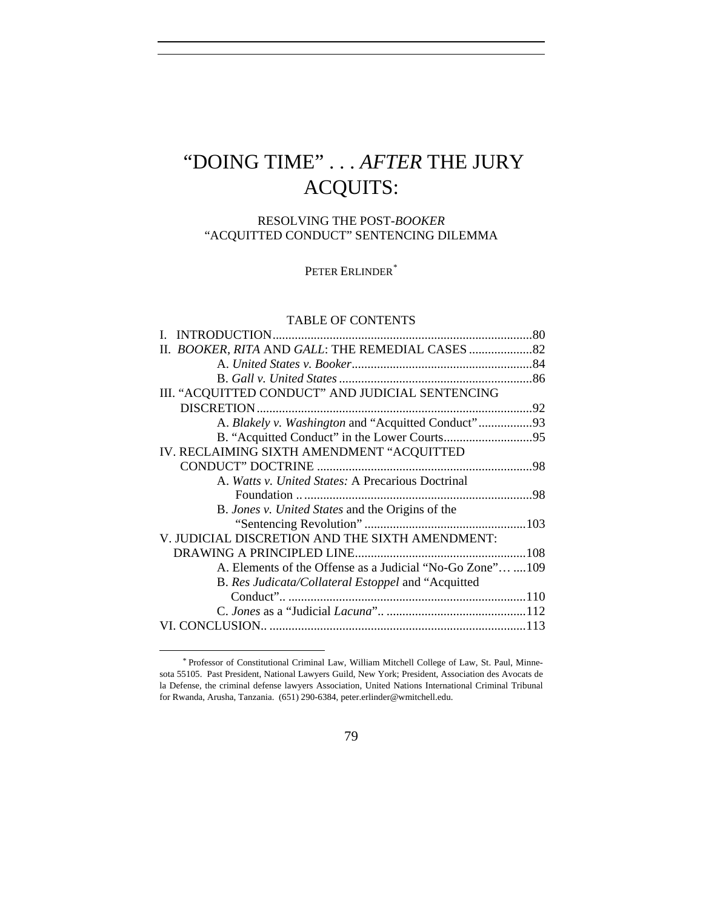# "DOING TIME" . . . *AFTER* THE JURY ACQUITS:

# RESOLVING THE POST-*BOOKER* "ACQUITTED CONDUCT" SENTENCING DILEMMA

PETER ERLINDER<sup>[\\*](#page-0-0)</sup>

## TABLE OF CONTENTS

|                                                           | 80 |
|-----------------------------------------------------------|----|
|                                                           |    |
|                                                           |    |
|                                                           |    |
| III. "ACQUITTED CONDUCT" AND JUDICIAL SENTENCING          |    |
|                                                           |    |
| A. Blakely v. Washington and "Acquitted Conduct"93        |    |
|                                                           |    |
| IV. RECLAIMING SIXTH AMENDMENT "ACQUITTED                 |    |
|                                                           |    |
| A. Watts v. United States: A Precarious Doctrinal         |    |
|                                                           |    |
| B. Jones v. United States and the Origins of the          |    |
|                                                           |    |
| V. JUDICIAL DISCRETION AND THE SIXTH AMENDMENT:           |    |
|                                                           |    |
| A. Elements of the Offense as a Judicial "No-Go Zone" 109 |    |
| B. Res Judicata/Collateral Estoppel and "Acquitted"       |    |
|                                                           |    |
|                                                           |    |
|                                                           |    |
|                                                           |    |

<span id="page-0-0"></span>*<sup>\*</sup>* Professor of Constitutional Criminal Law, William Mitchell College of Law, St. Paul, Minnesota 55105. Past President, National Lawyers Guild, New York; President, Association des Avocats de la Defense, the criminal defense lawyers Association, United Nations International Criminal Tribunal for Rwanda, Arusha, Tanzania. (651) 290-6384, peter.erlinder@wmitchell.edu.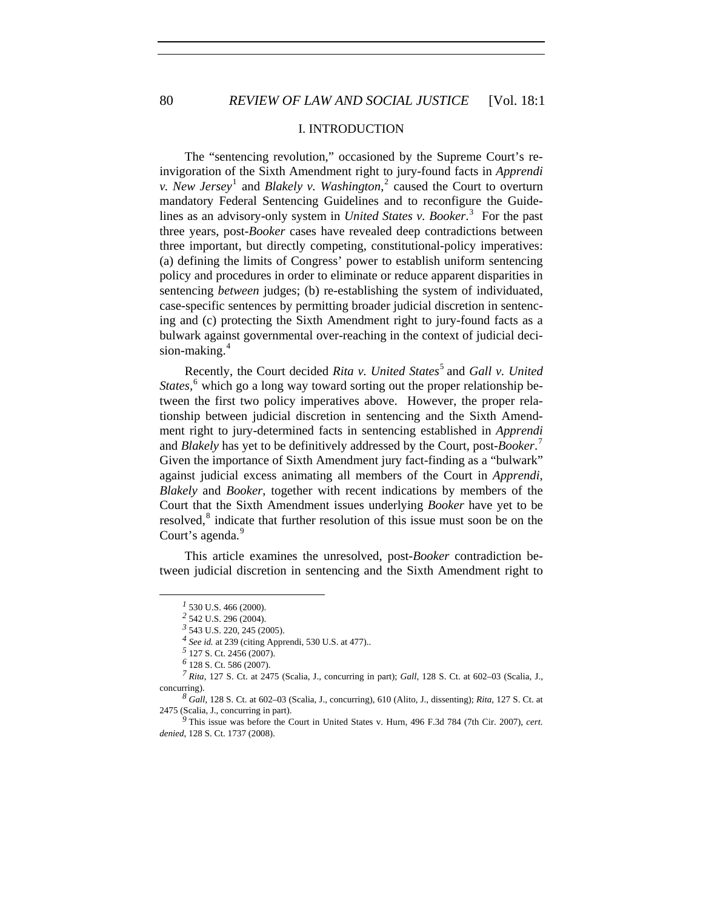## I. INTRODUCTION

The "sentencing revolution," occasioned by the Supreme Court's reinvigoration of the Sixth Amendment right to jury-found facts in *Apprendi v. New Jersey*<sup>[1](#page-1-0)</sup> and *Blakely v. Washington*<sup>[2](#page-1-1)</sup> caused the Court to overturn mandatory Federal Sentencing Guidelines and to reconfigure the Guidelines as an advisory-only system in *United States v. Booker*. [3](#page-1-2) For the past three years, post-*Booker* cases have revealed deep contradictions between three important, but directly competing, constitutional-policy imperatives: (a) defining the limits of Congress' power to establish uniform sentencing policy and procedures in order to eliminate or reduce apparent disparities in sentencing *between* judges; (b) re-establishing the system of individuated, case-specific sentences by permitting broader judicial discretion in sentencing and (c) protecting the Sixth Amendment right to jury-found facts as a bulwark against governmental over-reaching in the context of judicial deci-sion-making.<sup>[4](#page-1-3)</sup>

Recently, the Court decided *Rita v. United States*<sup>[5](#page-1-4)</sup> and *Gall v. United* States,<sup>[6](#page-1-5)</sup> which go a long way toward sorting out the proper relationship between the first two policy imperatives above. However, the proper relationship between judicial discretion in sentencing and the Sixth Amendment right to jury-determined facts in sentencing established in *Apprendi*  and *Blakely* has yet to be definitively addressed by the Court, post-*Booker*. [7](#page-1-6) Given the importance of Sixth Amendment jury fact-finding as a "bulwark" against judicial excess animating all members of the Court in *Apprendi*, *Blakely* and *Booker*, together with recent indications by members of the Court that the Sixth Amendment issues underlying *Booker* have yet to be resolved,<sup>[8](#page-1-7)</sup> indicate that further resolution of this issue must soon be on the Court's agenda.<sup>[9](#page-1-8)</sup>

<span id="page-1-0"></span>This article examines the unresolved, post-*Booker* contradiction between judicial discretion in sentencing and the Sixth Amendment right to

*<sup>1</sup>* 530 U.S. 466 (2000).

*<sup>2</sup>* 542 U.S. 296 (2004).

*<sup>3</sup>* 543 U.S. 220, 245 (2005).

*<sup>4</sup> See id.* at 239 (citing Apprendi, 530 U.S. at 477)..

*<sup>5</sup>* 127 S. Ct. 2456 (2007).

*<sup>6</sup>* 128 S. Ct. 586 (2007).

<span id="page-1-6"></span><span id="page-1-5"></span><span id="page-1-4"></span><span id="page-1-3"></span><span id="page-1-2"></span><span id="page-1-1"></span>*<sup>7</sup> Rita*, 127 S. Ct. at 2475 (Scalia, J., concurring in part); *Gall*, 128 S. Ct. at 602–03 (Scalia, J., concurring).

<span id="page-1-7"></span>*<sup>8</sup> Gall*, 128 S. Ct. at 602–03 (Scalia, J., concurring), 610 (Alito, J., dissenting); *Rita*, 127 S. Ct. at 2475 (Scalia, J., concurring in part).

<span id="page-1-8"></span>*<sup>9</sup>* This issue was before the Court in United States v. Hurn, 496 F.3d 784 (7th Cir. 2007), *cert. denied*, 128 S. Ct. 1737 (2008).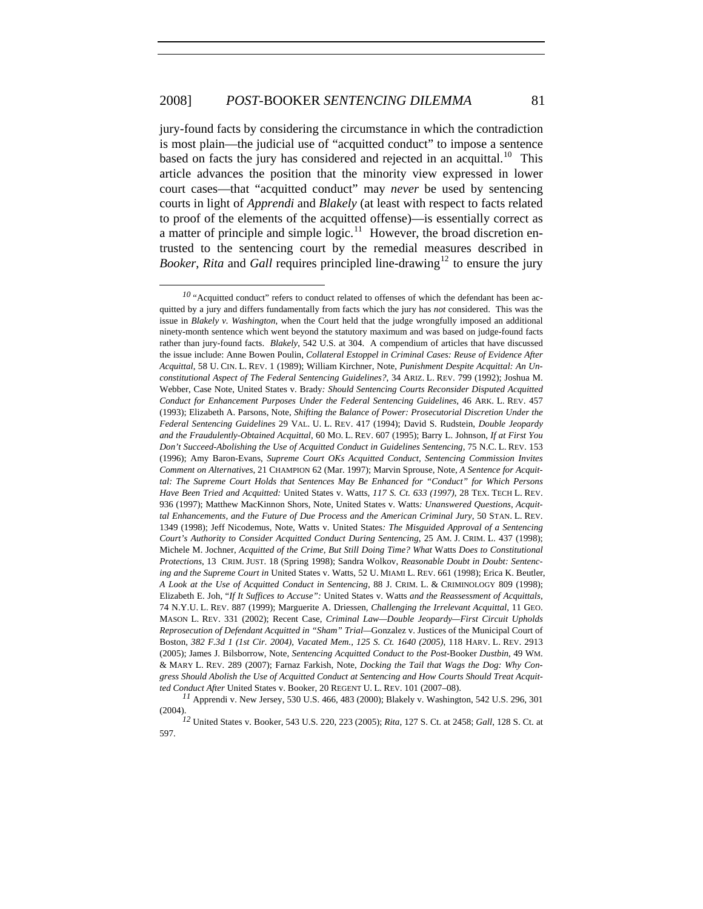$\overline{a}$ 

jury-found facts by considering the circumstance in which the contradiction is most plain—the judicial use of "acquitted conduct" to impose a sentence based on facts the jury has considered and rejected in an acquittal.<sup>[10](#page-2-0)</sup> This article advances the position that the minority view expressed in lower court cases—that "acquitted conduct" may *never* be used by sentencing courts in light of *Apprendi* and *Blakely* (at least with respect to facts related to proof of the elements of the acquitted offense)—is essentially correct as a matter of principle and simple logic.<sup>[11](#page-2-1)</sup> However, the broad discretion entrusted to the sentencing court by the remedial measures described in *Booker, Rita* and *Gall* requires principled line-drawing<sup>[12](#page-2-2)</sup> to ensure the jury

<span id="page-2-0"></span><sup>&</sup>lt;sup>10</sup> "Acquitted conduct" refers to conduct related to offenses of which the defendant has been acquitted by a jury and differs fundamentally from facts which the jury has *not* considered. This was the issue in *Blakely v. Washington*, when the Court held that the judge wrongfully imposed an additional ninety-month sentence which went beyond the statutory maximum and was based on judge-found facts rather than jury-found facts. *Blakely*, 542 U.S. at 304. A compendium of articles that have discussed the issue include: Anne Bowen Poulin, *Collateral Estoppel in Criminal Cases: Reuse of Evidence After Acquittal*, 58 U. CIN. L. REV. 1 (1989); William Kirchner, Note, *Punishment Despite Acquittal: An Unconstitutional Aspect of The Federal Sentencing Guidelines?*, 34 ARIZ. L. REV. 799 (1992); Joshua M. Webber, Case Note, United States v. Brady*: Should Sentencing Courts Reconsider Disputed Acquitted Conduct for Enhancement Purposes Under the Federal Sentencing Guidelines*, 46 ARK. L. [REV. 457](http://web2.westlaw.com/result/result.aspx?vr=2.0&sskey=CLID_SSSA35511643&effdate=1%2f1%2f0001+12%3a00%3a00+AM&rs=WLW8.02&fn=_top&fmqv=s&rlti=1&ss=CNT&method=WIN&eq=search&n=16&rltdb=CLID_DB21511643&db=JLR&cnt=DOC&sv=Split&rp=%2fsearch%2fdefault.wl&scxt=WL&cfid=1&rlt=CLID_QRYRLT36511643&srch=TRUE&origin=Search&mt=LawSchoolPractitioner&service=Search&query=acquitted+conduct)  (1993); Elizabeth A. Parsons, Note, *[Shifting the Balance of Power: Prosecutorial Discretion Under the](http://web2.westlaw.com/result/result.aspx?vr=2.0&sskey=CLID_SSSA35511643&effdate=1%2f1%2f0001+12%3a00%3a00+AM&rs=WLW8.02&fn=_top&fmqv=s&rlti=1&ss=CNT&method=WIN&eq=search&n=17&rltdb=CLID_DB21511643&db=JLR&cnt=DOC&sv=Split&rp=%2fsearch%2fdefault.wl&scxt=WL&cfid=1&rlt=CLID_QRYRLT36511643&srch=TRUE&origin=Search&mt=LawSchoolPractitioner&service=Search&query=acquitted+conduct)  [Federal Sentencing Guidelines](http://web2.westlaw.com/result/result.aspx?vr=2.0&sskey=CLID_SSSA35511643&effdate=1%2f1%2f0001+12%3a00%3a00+AM&rs=WLW8.02&fn=_top&fmqv=s&rlti=1&ss=CNT&method=WIN&eq=search&n=17&rltdb=CLID_DB21511643&db=JLR&cnt=DOC&sv=Split&rp=%2fsearch%2fdefault.wl&scxt=WL&cfid=1&rlt=CLID_QRYRLT36511643&srch=TRUE&origin=Search&mt=LawSchoolPractitioner&service=Search&query=acquitted+conduct)* 29 VAL. U. L. REV. 417 (1994); David S. Rudstein, *Double Jeopardy and the Fraudulently-Obtained Acquittal*, 60 MO. L. REV. 607 (1995); Barry L. Johnson, *If at First You Don't Succeed-Abolishing the Use of Acquitted Conduct in Guidelines Sentencing*, 75 N.C. L. REV. 153 (1996); Amy Baron-Evans, *Supreme Court OKs Acquitted Conduct, Sentencing Commission Invites Comment on Alternatives*, 21 CHAMPION 62 (Mar. 1997); Marvin Sprouse, Note, *A Sentence for Acquittal: The Supreme Court Holds that Sentences May Be Enhanced for "Conduct" for Which Persons Have Been Tried and Acquitted:* United States v. Watts*, 117 S. Ct. 633 (1997)*, 28 TEX. TECH L. REV. 936 (1997); Matthew MacKinnon Shors, Note, United States v. Watts*: Unanswered Questions, Acquittal Enhancements, and the Future of Due Process and the American Criminal Jury*, 50 STAN. L. REV. 1349 (1998); Jeff Nicodemus, Note, Watts v. United States*: The Misguided Approval of a Sentencing Court's Authority to Consider Acquitted Conduct During Sentencing*, 25 AM. J. CRIM. L. 437 (1998); Michele M. Jochner, *Acquitted of the Crime, But Still Doing Time? What* Watts *Does to Constitutional Protections*, 13 CRIM. JUST. 18 (Spring 1998); Sandra Wolkov, *Reasonable Doubt in Doubt: Sentencing and the Supreme Court in* United States v. Watts, 52 U. MIAMI L. REV. 661 (1998); Erica K. Beutler, *A Look at the Use of Acquitted Conduct in Sentencing*, 88 J. CRIM. L. & CRIMINOLOGY 809 (1998); Elizabeth E. Joh, "*If It Suffices to Accuse":* United States v. Watts *and the Reassessment of Acquittals*, 74 N.Y.U. L. REV. 887 (1999); Marguerite A. Driessen, *Challenging the Irrelevant Acquittal*, 11 GEO. MASON L. REV. 331 (2002); Recent Case, *Criminal Law—Double Jeopardy—First Circuit Upholds Reprosecution of Defendant Acquitted in "Sham" Trial—*Gonzalez v. Justices of the Municipal Court of Boston*, 382 F.3d 1 (1st Cir. 2004), Vacated Mem., 125 S. Ct. 1640 (2005)*, 118 HARV. L. [REV. 2913](http://web2.westlaw.com/result/result.aspx?vr=2.0&sskey=CLID_SSSA35511643&effdate=1%2f1%2f0001+12%3a00%3a00+AM&rs=WLW8.02&fn=_top&fmqv=s&rlti=1&ss=CNT&method=WIN&eq=search&n=15&rltdb=CLID_DB21511643&db=JLR&cnt=DOC&sv=Split&rp=%2fsearch%2fdefault.wl&scxt=WL&cfid=1&rlt=CLID_QRYRLT36511643&srch=TRUE&origin=Search&mt=LawSchoolPractitioner&service=Search&query=acquitted+conduct)  (2005); James J. Bilsborrow, Note, *Sentencing Acquitted Conduct to the Post-*Booker *Dustbin*, [49 WM.](http://web2.westlaw.com/result/result.aspx?vr=2.0&sskey=CLID_SSSA35511643&effdate=1%2f1%2f0001+12%3a00%3a00+AM&rs=WLW8.02&fn=_top&fmqv=s&rlti=1&ss=CNT&method=WIN&eq=search&n=20&rltdb=CLID_DB21511643&db=JLR&cnt=DOC&sv=Split&rp=%2fsearch%2fdefault.wl&scxt=WL&cfid=1&rlt=CLID_QRYRLT36511643&srch=TRUE&origin=Search&mt=LawSchoolPractitioner&service=Search&query=acquitted+conduct) & MARY L. [REV. 289](http://web2.westlaw.com/result/result.aspx?vr=2.0&sskey=CLID_SSSA35511643&effdate=1%2f1%2f0001+12%3a00%3a00+AM&rs=WLW8.02&fn=_top&fmqv=s&rlti=1&ss=CNT&method=WIN&eq=search&n=20&rltdb=CLID_DB21511643&db=JLR&cnt=DOC&sv=Split&rp=%2fsearch%2fdefault.wl&scxt=WL&cfid=1&rlt=CLID_QRYRLT36511643&srch=TRUE&origin=Search&mt=LawSchoolPractitioner&service=Search&query=acquitted+conduct) (2007); Farnaz Farkish, Note, *Docking the Tail that Wags the Dog: Why Congress Should Abolish the Use of Acquitted Conduct at Sentencing and How Courts Should Treat Acquitted Conduct After* United States v. Booker, 20 REGENT U. L. REV. 101 (2007–08).

<span id="page-2-1"></span>*<sup>11</sup>* Apprendi v. New Jersey, 530 U.S. 466, 483 (2000); Blakely v. Washington, 542 U.S. 296, 301 (2004).

<span id="page-2-2"></span>*<sup>12</sup>* United States v. Booker, 543 U.S. 220, 223 (2005); *Rita*, 127 S. Ct. at 2458; *Gall*, 128 S. Ct. at 597.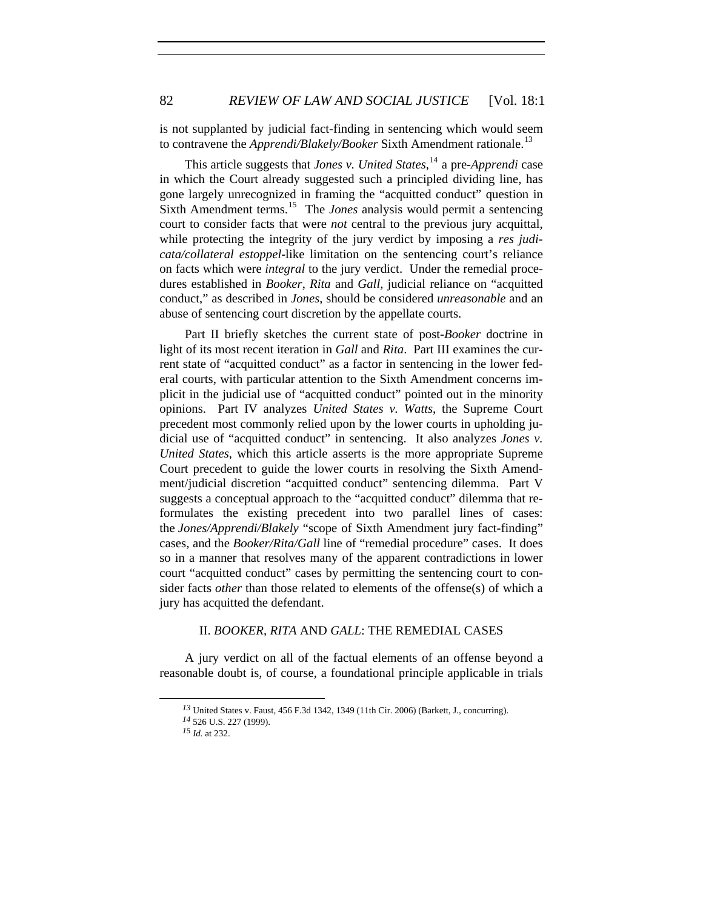is not supplanted by judicial fact-finding in sentencing which would seem to contravene the *Apprendi/Blakely/Booker* Sixth Amendment rationale.<sup>[13](#page-3-0)</sup>

This article suggests that *Jones v. United States*, [14](#page-3-1) a pre-*Apprendi* case in which the Court already suggested such a principled dividing line, has gone largely unrecognized in framing the "acquitted conduct" question in Sixth Amendment terms.<sup>[15](#page-3-2)</sup> The *Jones* analysis would permit a sentencing court to consider facts that were *not* central to the previous jury acquittal, while protecting the integrity of the jury verdict by imposing a *res judicata/collateral estoppel-*like limitation on the sentencing court's reliance on facts which were *integral* to the jury verdict. Under the remedial procedures established in *Booker*, *Rita* and *Gall,* judicial reliance on "acquitted conduct," as described in *Jones*, should be considered *unreasonable* and an abuse of sentencing court discretion by the appellate courts.

Part II briefly sketches the current state of post-*Booker* doctrine in light of its most recent iteration in *Gall* and *Rita*. Part III examines the current state of "acquitted conduct" as a factor in sentencing in the lower federal courts, with particular attention to the Sixth Amendment concerns implicit in the judicial use of "acquitted conduct" pointed out in the minority opinions. Part IV analyzes *United States v. Watts*, the Supreme Court precedent most commonly relied upon by the lower courts in upholding judicial use of "acquitted conduct" in sentencing. It also analyzes *Jones v. United States*, which this article asserts is the more appropriate Supreme Court precedent to guide the lower courts in resolving the Sixth Amendment/judicial discretion "acquitted conduct" sentencing dilemma. Part V suggests a conceptual approach to the "acquitted conduct" dilemma that reformulates the existing precedent into two parallel lines of cases: the *Jones/Apprendi/Blakely* "scope of Sixth Amendment jury fact-finding" cases, and the *Booker/Rita/Gall* line of "remedial procedure" cases.It does so in a manner that resolves many of the apparent contradictions in lower court "acquitted conduct" cases by permitting the sentencing court to consider facts *other* than those related to elements of the offense(s) of which a jury has acquitted the defendant.

## II. *BOOKER*, *RITA* AND *GALL*: THE REMEDIAL CASES

<span id="page-3-2"></span><span id="page-3-1"></span><span id="page-3-0"></span>A jury verdict on all of the factual elements of an offense beyond a reasonable doubt is, of course, a foundational principle applicable in trials

*<sup>13</sup>* United States v. Faust, 456 F.3d 1342, 1349 (11th Cir. 2006) (Barkett, J., concurring).

*<sup>14</sup>* 526 U.S. 227 (1999).

*<sup>15</sup> Id.* at 232.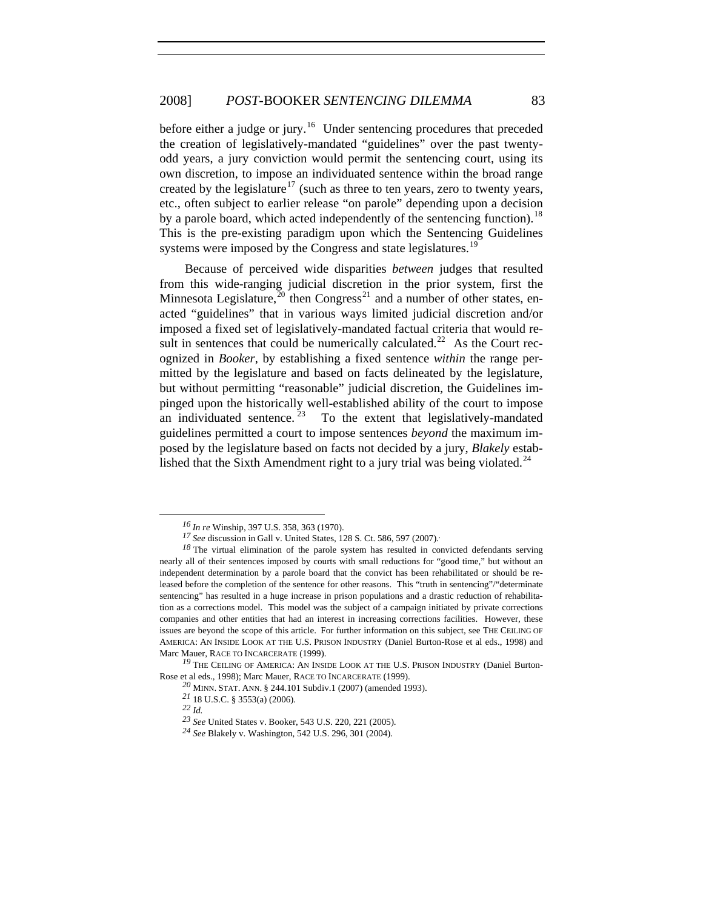before either a judge or jury.<sup>[16](#page-4-0)</sup> Under sentencing procedures that preceded the creation of legislatively-mandated "guidelines" over the past twentyodd years, a jury conviction would permit the sentencing court, using its own discretion, to impose an individuated sentence within the broad range created by the legislature<sup>[17](#page-4-1)</sup> (such as three to ten years, zero to twenty years, etc., often subject to earlier release "on parole" depending upon a decision by a parole board, which acted independently of the sentencing function).<sup>[18](#page-4-2)</sup> This is the pre-existing paradigm upon which the Sentencing Guidelines systems were imposed by the Congress and state legislatures.<sup>[19](#page-4-3)</sup>

Because of perceived wide disparities *between* judges that resulted from this wide-ranging judicial discretion in the prior system, first the Minnesota Legislature, $^{20}$  $^{20}$  $^{20}$  then Congress<sup>[21](#page-4-5)</sup> and a number of other states, enacted "guidelines" that in various ways limited judicial discretion and/or imposed a fixed set of legislatively-mandated factual criteria that would re-sult in sentences that could be numerically calculated.<sup>[22](#page-4-6)</sup> As the Court recognized in *Booker*, by establishing a fixed sentence *within* the range permitted by the legislature and based on facts delineated by the legislature, but without permitting "reasonable" judicial discretion, the Guidelines impinged upon the historically well-established ability of the court to impose an individuated sentence.  $23$  To the extent that legislatively-mandated guidelines permitted a court to impose sentences *beyond* the maximum imposed by the legislature based on facts not decided by a jury, *Blakely* estab-lished that the Sixth Amendment right to a jury trial was being violated.<sup>[24](#page-4-8)</sup>

*<sup>16</sup> In re* Winship, 397 U.S. 358, 363 (1970).

*<sup>17</sup> See* discussion in Gall v. United States, 128 S. Ct. 586, 597 (2007).*.* 

<span id="page-4-2"></span><span id="page-4-1"></span><span id="page-4-0"></span><sup>&</sup>lt;sup>18</sup>The virtual elimination of the parole system has resulted in convicted defendants serving nearly all of their sentences imposed by courts with small reductions for "good time," but without an independent determination by a parole board that the convict has been rehabilitated or should be released before the completion of the sentence for other reasons. This "truth in sentencing"/"determinate sentencing" has resulted in a huge increase in prison populations and a drastic reduction of rehabilitation as a corrections model. This model was the subject of a campaign initiated by private corrections companies and other entities that had an interest in increasing corrections facilities. However, these issues are beyond the scope of this article.For further information on this subject, see THE CEILING OF AMERICA: AN INSIDE LOOK AT THE U.S. PRISON INDUSTRY (Daniel Burton-Rose et al eds., 1998) and Marc Mauer, RACE TO INCARCERATE (1999).

<span id="page-4-8"></span><span id="page-4-7"></span><span id="page-4-6"></span><span id="page-4-5"></span><span id="page-4-4"></span><span id="page-4-3"></span><sup>&</sup>lt;sup>19</sup> THE CEILING OF AMERICA: AN INSIDE LOOK AT THE U.S. PRISON INDUSTRY (Daniel Burton-Rose et al eds., 1998); Marc Mauer, RACE TO INCARCERATE (1999).

*<sup>20</sup>* MINN. STAT. ANN. § 244.101 Subdiv.1 (2007) (amended 1993).

*<sup>21</sup>* 18 U.S.C. § 3553(a) (2006).

*<sup>22</sup> Id.*

*<sup>23</sup> See* United States v. Booker, 543 U.S. 220, 221 (2005).

*<sup>24</sup> See* Blakely v. Washington, 542 U.S. 296, 301 (2004).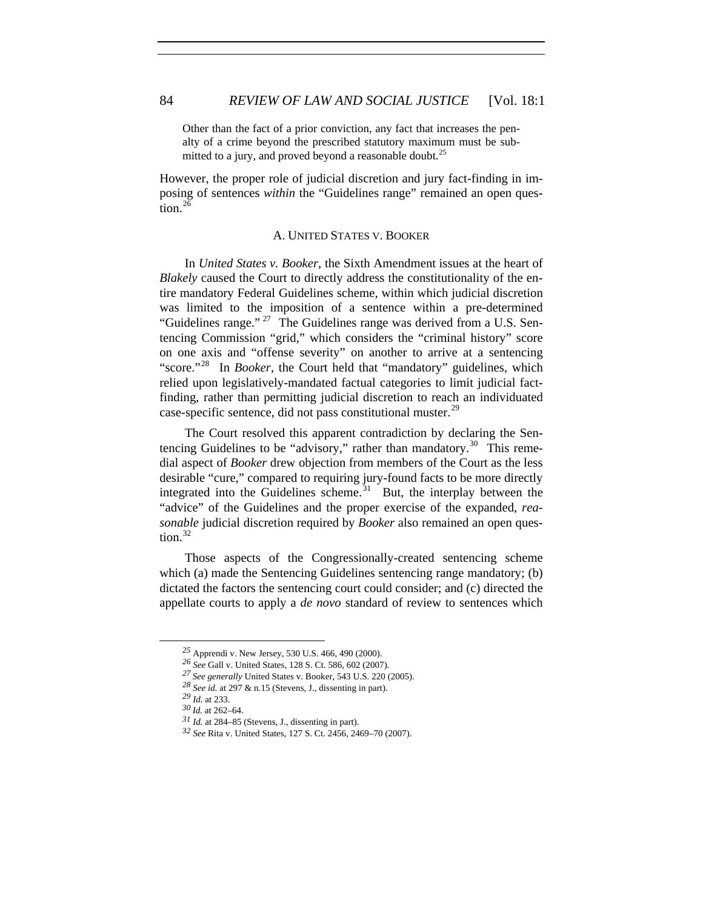Other than the fact of a prior conviction, any fact that increases the penalty of a crime beyond the prescribed statutory maximum must be sub-mitted to a jury, and proved beyond a reasonable doubt.<sup>[25](#page-5-0)</sup>

However, the proper role of judicial discretion and jury fact-finding in imposing of sentences *within* the "Guidelines range" remained an open ques-tion.<sup>[26](#page-5-1)</sup>

#### A. UNITED STATES V. BOOKER

In *United States v. Booker*, the Sixth Amendment issues at the heart of *Blakely* caused the Court to directly address the constitutionality of the entire mandatory Federal Guidelines scheme, within which judicial discretion was limited to the imposition of a sentence within a pre-determined "Guidelines range." <sup>[27](#page-5-2)</sup> The Guidelines range was derived from a U.S. Sentencing Commission "grid," which considers the "criminal history" score on one axis and "offense severity" on another to arrive at a sentencing "score."[28](#page-5-3) In *Booker*, the Court held that "mandatory" guidelines, which relied upon legislatively-mandated factual categories to limit judicial factfinding, rather than permitting judicial discretion to reach an individuated case-specific sentence, did not pass constitutional muster.<sup>[29](#page-5-4)</sup>

The Court resolved this apparent contradiction by declaring the Sentencing Guidelines to be "advisory," rather than mandatory. $30$  This remedial aspect of *Booker* drew objection from members of the Court as the less desirable "cure," compared to requiring jury-found facts to be more directly integrated into the Guidelines scheme. $31$  But, the interplay between the "advice" of the Guidelines and the proper exercise of the expanded, *reasonable* judicial discretion required by *Booker* also remained an open question. $32$ 

Those aspects of the Congressionally-created sentencing scheme which (a) made the Sentencing Guidelines sentencing range mandatory; (b) dictated the factors the sentencing court could consider; and (c) directed the appellate courts to apply a *de novo* standard of review to sentences which

*<sup>25</sup>* Apprendi v. New Jersey, 530 U.S. 466, 490 (2000).

<span id="page-5-1"></span><span id="page-5-0"></span>*<sup>26</sup> See* Gall v. United States, 128 S. Ct. 586, 602 (2007).

*<sup>27</sup> See generally* United States v. Booker, 543 U.S. 220 (2005).

*<sup>28</sup> See id.* at 297 & n.15 (Stevens, J., dissenting in part).

<span id="page-5-6"></span><span id="page-5-5"></span><span id="page-5-4"></span><span id="page-5-3"></span><span id="page-5-2"></span>*<sup>29</sup> Id.* at 233.

*<sup>30</sup> Id.* at 262–64.

*<sup>31</sup> Id.* at 284–85 (Stevens, J., dissenting in part).

<span id="page-5-7"></span>*<sup>32</sup> See* Rita v. United States, 127 S. Ct. 2456, 2469–70 (2007).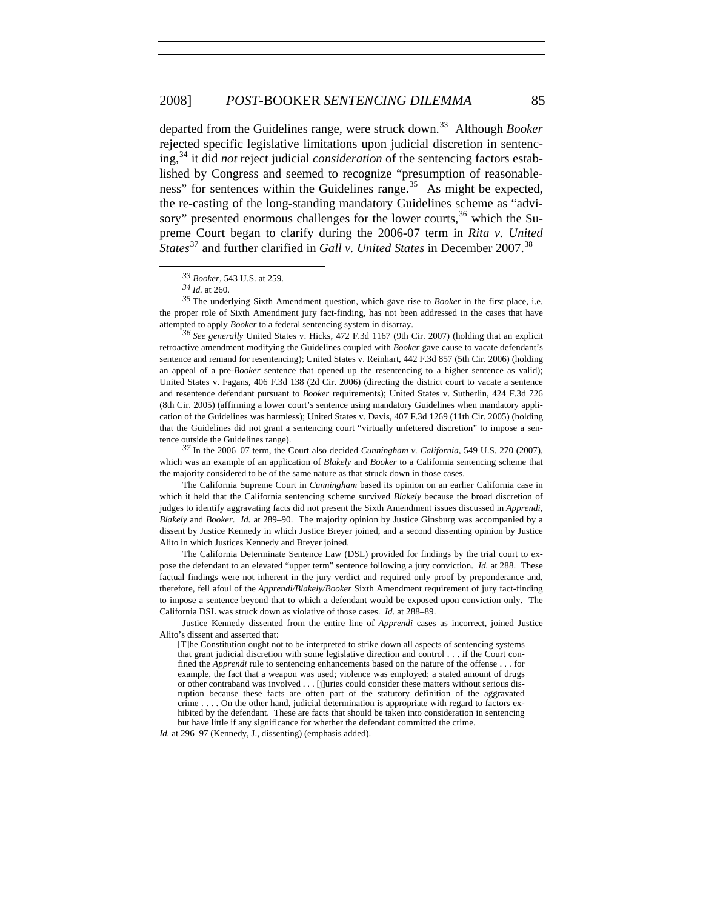departed from the Guidelines range, were struck down.<sup>[33](#page-6-0)</sup> Although *Booker* rejected specific legislative limitations upon judicial discretion in sentencing,[34](#page-6-1) it did *not* reject judicial *consideration* of the sentencing factors established by Congress and seemed to recognize "presumption of reasonable-ness" for sentences within the Guidelines range.<sup>[35](#page-6-2)</sup> As might be expected, the re-casting of the long-standing mandatory Guidelines scheme as "advisory" presented enormous challenges for the lower courts,  $36$  which the Supreme Court began to clarify during the 2006-07 term in *Rita v. United States*<sup>[37](#page-6-4)</sup> and further clarified in *Gall v. United States* in December 2007.<sup>[38](#page-6-5)</sup>

 $\overline{a}$ 

<span id="page-6-3"></span>*<sup>36</sup> See generally* United States v. Hicks, 472 F.3d 1167 (9th Cir. 2007) (holding that an explicit retroactive amendment modifying the Guidelines coupled with *Booker* gave cause to vacate defendant's sentence and remand for resentencing); United States v. Reinhart, 442 F.3d 857 (5th Cir. 2006) (holding an appeal of a pre-*Booker* sentence that opened up the resentencing to a higher sentence as valid); United States v. Fagans, 406 F.3d 138 (2d Cir. 2006) (directing the district court to vacate a sentence and resentence defendant pursuant to *Booker* requirements); United States v. Sutherlin, 424 F.3d 726 (8th Cir. 2005) (affirming a lower court's sentence using mandatory Guidelines when mandatory application of the Guidelines was harmless); United States v. Davis, 407 F.3d 1269 (11th Cir. 2005) (holding that the Guidelines did not grant a sentencing court "virtually unfettered discretion" to impose a sentence outside the Guidelines range).

<span id="page-6-4"></span>*<sup>37</sup>* In the 2006–07 term, the Court also decided *Cunningham v. California,* 549 U.S. 270 (2007), which was an example of an application of *Blakely* and *Booker* to a California sentencing scheme that the majority considered to be of the same nature as that struck down in those cases.

The California Supreme Court in *Cunningham* based its opinion on an earlier California case in which it held that the California sentencing scheme survived *Blakely* because the broad discretion of judges to identify aggravating facts did not present the Sixth Amendment issues discussed in *Apprendi*, *Blakely* and *Booker*. *Id.* at 289–90. The majority opinion by Justice Ginsburg was accompanied by a dissent by Justice Kennedy in which Justice Breyer joined, and a second dissenting opinion by Justice Alito in which Justices Kennedy and Breyer joined.

The California Determinate Sentence Law (DSL) provided for findings by the trial court to expose the defendant to an elevated "upper term" sentence following a jury conviction. *Id.* at 288. These factual findings were not inherent in the jury verdict and required only proof by preponderance and, therefore, fell afoul of the *Apprendi/Blakely/Booker* Sixth Amendment requirement of jury fact-finding to impose a sentence beyond that to which a defendant would be exposed upon conviction only. The California DSL was struck down as violative of those cases. *Id.* at 288–89.

*Id.* at 296–97 (Kennedy, J., dissenting) (emphasis added).

*<sup>33</sup> Booker*, 543 U.S. at 259.

*<sup>34</sup> Id.* at 260.

<span id="page-6-2"></span><span id="page-6-1"></span><span id="page-6-0"></span>*<sup>35</sup>* The underlying Sixth Amendment question, which gave rise to *Booker* in the first place, i.e. the proper role of Sixth Amendment jury fact-finding, has not been addressed in the cases that have attempted to apply *Booker* to a federal sentencing system in disarray.

<span id="page-6-5"></span>Justice Kennedy dissented from the entire line of *Apprendi* cases as incorrect, joined Justice Alito's dissent and asserted that:

<sup>[</sup>T]he Constitution ought not to be interpreted to strike down all aspects of sentencing systems that grant judicial discretion with some legislative direction and control . . . if the Court confined the *Apprendi* rule to sentencing enhancements based on the nature of the offense . . . for example, the fact that a weapon was used; violence was employed; a stated amount of drugs or other contraband was involved . . . [j]uries could consider these matters without serious disruption because these facts are often part of the statutory definition of the aggravated crime . . . . On the other hand, judicial determination is appropriate with regard to factors exhibited by the defendant. These are facts that should be taken into consideration in sentencing but have little if any significance for whether the defendant committed the crime.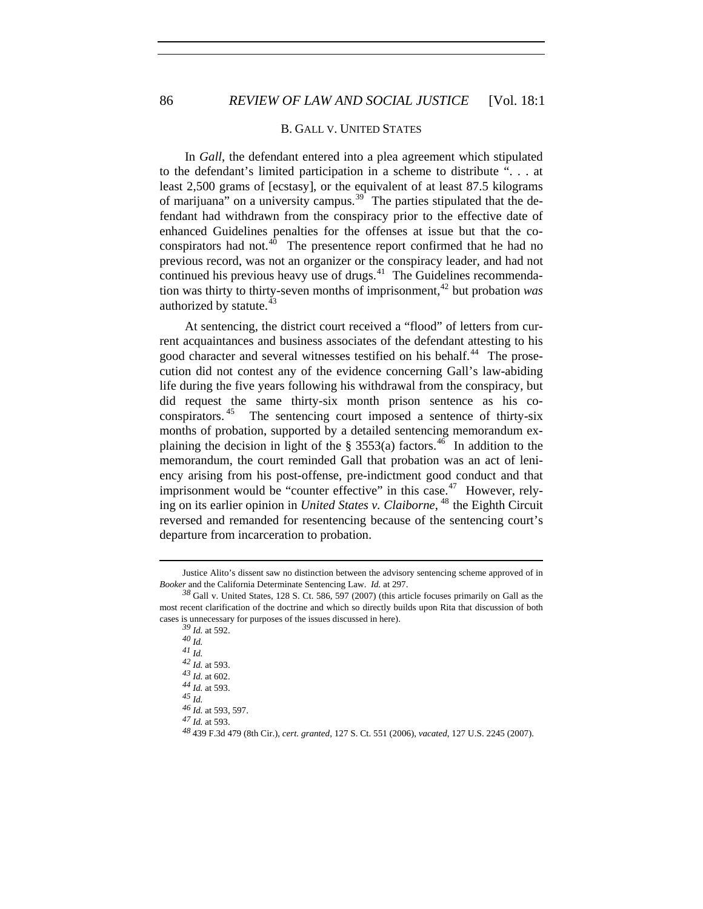#### B. GALL V. UNITED STATES

In *Gall*, the defendant entered into a plea agreement which stipulated to the defendant's limited participation in a scheme to distribute ". . . at least 2,500 grams of [ecstasy], or the equivalent of at least 87.5 kilograms of marijuana" on a university campus.<sup>[39](#page-7-0)</sup> The parties stipulated that the defendant had withdrawn from the conspiracy prior to the effective date of enhanced Guidelines penalties for the offenses at issue but that the coconspirators had not. $40$  The presentence report confirmed that he had no previous record, was not an organizer or the conspiracy leader, and had not continued his previous heavy use of drugs. $41$  The Guidelines recommenda-tion was thirty to thirty-seven months of imprisonment,<sup>[42](#page-7-3)</sup> but probation *was* authorized by statute.<sup>[43](#page-7-4)</sup>

departure from incarceration to probation. At sentencing, the district court received a "flood" of letters from current acquaintances and business associates of the defendant attesting to his good character and several witnesses testified on his behalf.<sup>[44](#page-7-5)</sup> The prosecution did not contest any of the evidence concerning Gall's law-abiding life during the five years following his withdrawal from the conspiracy, but did request the same thirty-six month prison sentence as his co-conspirators.<sup>[45](#page-7-6)</sup> The sentencing court imposed a sentence of thirty-six months of probation, supported by a detailed sentencing memorandum explaining the decision in light of the  $\S$  3553(a) factors.<sup>[46](#page-7-7)</sup> In addition to the memorandum, the court reminded Gall that probation was an act of leniency arising from his post-offense, pre-indictment good conduct and that imprisonment would be "counter effective" in this case.<sup>[47](#page-7-8)</sup> However, relying on its earlier opinion in *United States v. Claiborne*, [48](#page-7-9) the Eighth Circuit reversed and remanded for resentencing because of the sentencing court's

<u>.</u>

*40 Id. 41 Id.*

*<sup>42</sup> Id.* at 593.

*<sup>45</sup> Id. <sup>46</sup> Id.* at 593, 597.

<span id="page-7-9"></span>*<sup>47</sup> Id.* at 593.

Justice Alito's dissent saw no distinction between the advisory sentencing scheme approved of in *Booker* and the California Determinate Sentencing Law. *Id.* at 297.

<span id="page-7-3"></span><span id="page-7-2"></span><span id="page-7-1"></span><span id="page-7-0"></span>*<sup>38</sup>* Gall v. United States, 128 S. Ct. 586, 597 (2007) (this article focuses primarily on Gall as the most recent clarification of the doctrine and which so directly builds upon Rita that discussion of both cases is unnecessary for purposes of the issues discussed in here).

*<sup>39</sup> Id.* at 592.

*<sup>43</sup> Id.* at 602.

<span id="page-7-8"></span><span id="page-7-7"></span><span id="page-7-6"></span><span id="page-7-5"></span><span id="page-7-4"></span>*<sup>44</sup> Id.* at 593.

*<sup>48</sup>*439 F.3d 479 (8th Cir.), *cert. granted*, 127 S. Ct. 551 (2006), *vacated*, 127 U.S. 2245 (2007).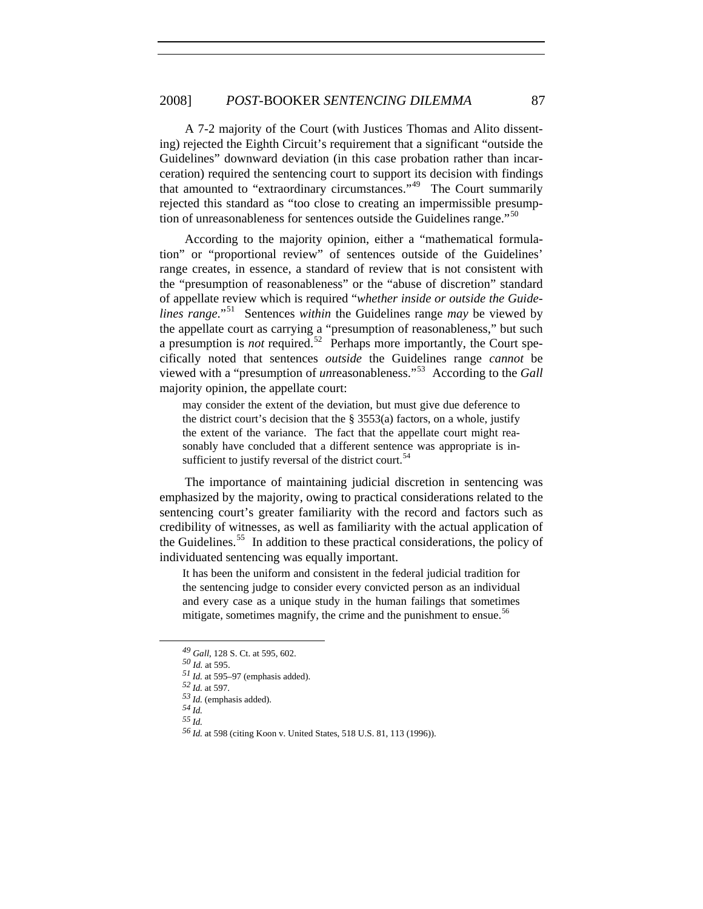A 7-2 majority of the Court (with Justices Thomas and Alito dissenting) rejected the Eighth Circuit's requirement that a significant "outside the Guidelines" downward deviation (in this case probation rather than incarceration) required the sentencing court to support its decision with findings that amounted to "extraordinary circumstances."[49](#page-8-0) The Court summarily rejected this standard as "too close to creating an impermissible presump-tion of unreasonableness for sentences outside the Guidelines range."<sup>[50](#page-8-1)</sup>

According to the majority opinion, either a "mathematical formulation" or "proportional review" of sentences outside of the Guidelines' range creates, in essence, a standard of review that is not consistent with the "presumption of reasonableness" or the "abuse of discretion" standard of appellate review which is required "*whether inside or outside the Guidelines range*."[51](#page-8-2) Sentences *within* the Guidelines range *may* be viewed by the appellate court as carrying a "presumption of reasonableness," but such a presumption is *not* required.<sup>[52](#page-8-3)</sup> Perhaps more importantly, the Court specifically noted that sentences *outside* the Guidelines range *cannot* be viewed with a "presumption of *un*reasonableness."[53](#page-8-4) According to the *Gall*  majority opinion, the appellate court:

may consider the extent of the deviation, but must give due deference to the district court's decision that the  $\S$  3553(a) factors, on a whole, justify the extent of the variance. The fact that the appellate court might reasonably have concluded that a different sentence was appropriate is in-sufficient to justify reversal of the district court.<sup>[54](#page-8-5)</sup>

The importance of maintaining judicial discretion in sentencing was emphasized by the majority, owing to practical considerations related to the sentencing court's greater familiarity with the record and factors such as credibility of witnesses, as well as familiarity with the actual application of the Guidelines.<sup>[55](#page-8-6)</sup> In addition to these practical considerations, the policy of individuated sentencing was equally important.

It has been the uniform and consistent in the federal judicial tradition for the sentencing judge to consider every convicted person as an individual and every case as a unique study in the human failings that sometimes mitigate, sometimes magnify, the crime and the punishment to ensue.<sup>[56](#page-8-7)</sup>

- *54 Id.*
- <span id="page-8-7"></span><span id="page-8-6"></span><span id="page-8-5"></span>*55 Id.*

*<sup>49</sup> Gall*, 128 S. Ct. at 595, 602.

<span id="page-8-1"></span><span id="page-8-0"></span>*<sup>50</sup> Id.* at 595.

<span id="page-8-2"></span>*<sup>51</sup> Id.* at 595–97 (emphasis added).

<span id="page-8-4"></span><span id="page-8-3"></span>*<sup>52</sup> Id.* at 597.

*<sup>53</sup> Id.* (emphasis added).

*<sup>56</sup> Id.* at 598 (citing Koon v. United States, 518 U.S. 81, 113 (1996)).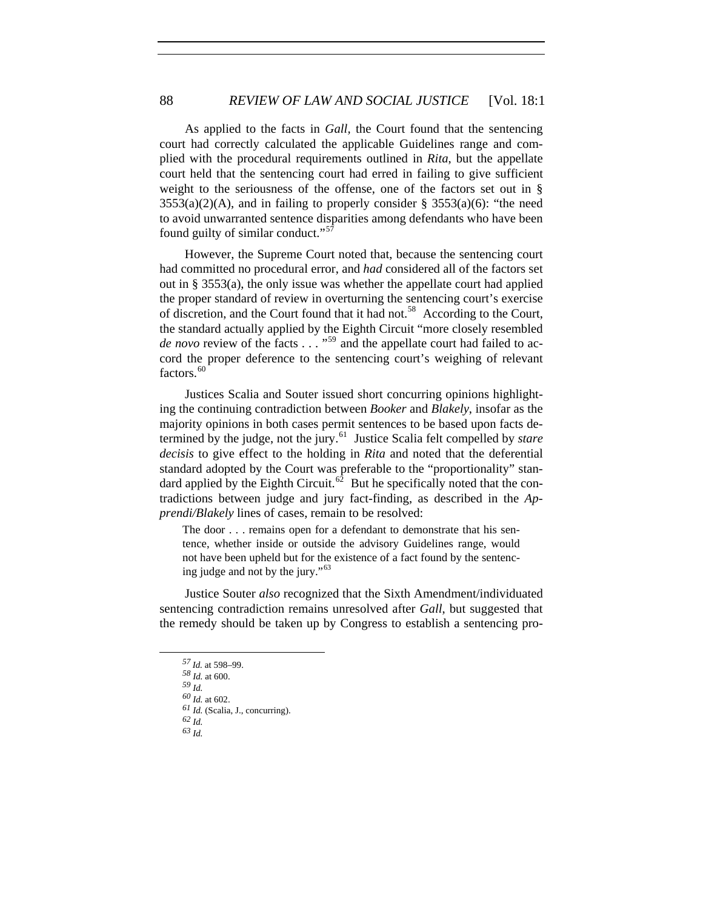As applied to the facts in *Gall,* the Court found that the sentencing court had correctly calculated the applicable Guidelines range and complied with the procedural requirements outlined in *Rita*, but the appellate court held that the sentencing court had erred in failing to give sufficient weight to the seriousness of the offense, one of the factors set out in §  $3553(a)(2)(A)$ , and in failing to properly consider §  $3553(a)(6)$ : "the need to avoid unwarranted sentence disparities among defendants who have been found guilty of similar conduct."<sup>[57](#page-9-0)</sup>

However, the Supreme Court noted that, because the sentencing court had committed no procedural error, and *had* considered all of the factors set out in § 3553(a), the only issue was whether the appellate court had applied the proper standard of review in overturning the sentencing court's exercise of discretion, and the Court found that it had not.<sup>[58](#page-9-1)</sup> According to the Court, the standard actually applied by the Eighth Circuit "more closely resembled *de novo* review of the facts . . . "<sup>[59](#page-9-2)</sup> and the appellate court had failed to accord the proper deference to the sentencing court's weighing of relevant factors.<sup>[60](#page-9-3)</sup>

Justices Scalia and Souter issued short concurring opinions highlighting the continuing contradiction between *Booker* and *Blakely*, insofar as the majority opinions in both cases permit sentences to be based upon facts determined by the judge, not the jury.[61](#page-9-4) Justice Scalia felt compelled by *stare decisis* to give effect to the holding in *Rita* and noted that the deferential standard adopted by the Court was preferable to the "proportionality" stan-dard applied by the Eighth Circuit.<sup>[62](#page-9-5)</sup> But he specifically noted that the contradictions between judge and jury fact-finding, as described in the *Apprendi/Blakely* lines of cases, remain to be resolved:

The door . . . remains open for a defendant to demonstrate that his sentence, whether inside or outside the advisory Guidelines range, would not have been upheld but for the existence of a fact found by the sentenc-ing judge and not by the jury."<sup>[63](#page-9-6)</sup>

<span id="page-9-1"></span><span id="page-9-0"></span>Justice Souter *also* recognized that the Sixth Amendment/individuated sentencing contradiction remains unresolved after *Gall*, but suggested that the remedy should be taken up by Congress to establish a sentencing pro-

*<sup>57</sup> Id.* at 598–99.

<span id="page-9-2"></span>*<sup>58</sup> Id.* at 600.

*<sup>59</sup> Id.*

<span id="page-9-3"></span>*<sup>60</sup> Id.* at 602.

<span id="page-9-4"></span>*<sup>61</sup> Id.* (Scalia, J., concurring).

<span id="page-9-5"></span>*<sup>62</sup> Id.*

<span id="page-9-6"></span>*<sup>63</sup> Id.*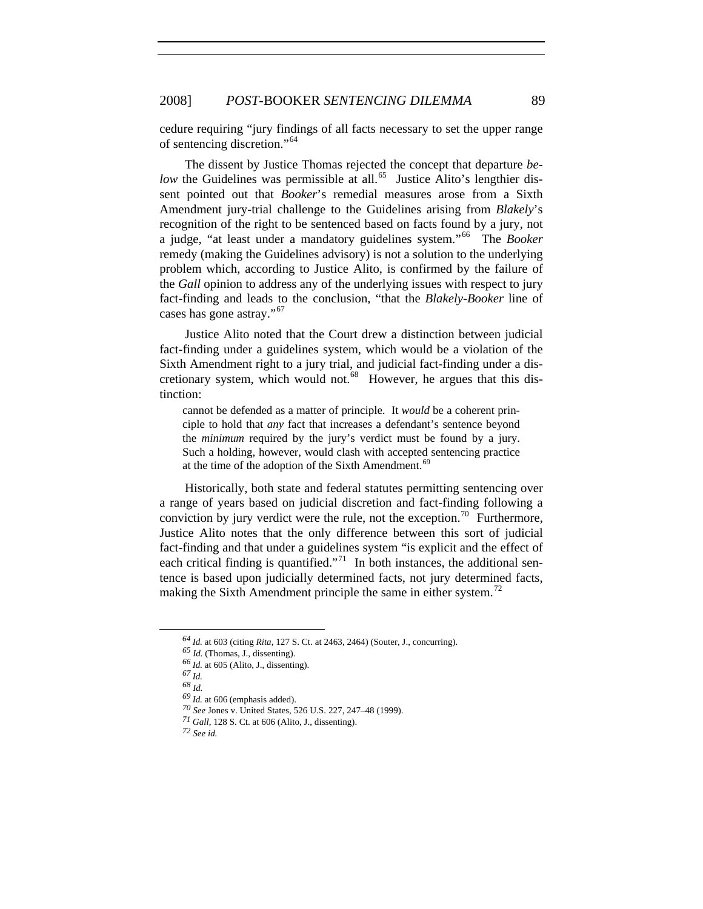cedure requiring "jury findings of all facts necessary to set the upper range of sentencing discretion."[64](#page-10-0)

The dissent by Justice Thomas rejected the concept that departure *below* the Guidelines was permissible at all.<sup>[65](#page-10-1)</sup> Justice Alito's lengthier dissent pointed out that *Booker*'s remedial measures arose from a Sixth Amendment jury-trial challenge to the Guidelines arising from *Blakely*'s recognition of the right to be sentenced based on facts found by a jury, not a judge, "at least under a mandatory guidelines system."[66](#page-10-2) The *Booker* remedy (making the Guidelines advisory) is not a solution to the underlying problem which, according to Justice Alito, is confirmed by the failure of the *Gall* opinion to address any of the underlying issues with respect to jury fact-finding and leads to the conclusion, "that the *Blakely-Booker* line of cases has gone astray."<sup>[67](#page-10-3)</sup>

tinction: Justice Alito noted that the Court drew a distinction between judicial fact-finding under a guidelines system, which would be a violation of the Sixth Amendment right to a jury trial, and judicial fact-finding under a dis-cretionary system, which would not.<sup>[68](#page-10-4)</sup> However, he argues that this dis-

cannot be defended as a matter of principle. It *would* be a coherent principle to hold that *any* fact that increases a defendant's sentence beyond the *minimum* required by the jury's verdict must be found by a jury. Such a holding, however, would clash with accepted sentencing practice at the time of the adoption of the Sixth Amendment.<sup>[69](#page-10-5)</sup>

Historically, both state and federal statutes permitting sentencing over a range of years based on judicial discretion and fact-finding following a conviction by jury verdict were the rule, not the exception.<sup>[70](#page-10-6)</sup> Furthermore, Justice Alito notes that the only difference between this sort of judicial fact-finding and that under a guidelines system "is explicit and the effect of each critical finding is quantified."<sup>[71](#page-10-7)</sup> In both instances, the additional sentence is based upon judicially determined facts, not jury determined facts, making the Sixth Amendment principle the same in either system.<sup>[72](#page-10-8)</sup>

*<sup>64</sup> Id.* at 603 (citing *Rita*, 127 S. Ct. at 2463, 2464) (Souter, J., concurring).

<span id="page-10-3"></span><span id="page-10-2"></span><span id="page-10-1"></span><span id="page-10-0"></span>*<sup>65</sup> Id.* (Thomas, J., dissenting).

*<sup>66</sup> Id.* at 605 (Alito, J., dissenting).

*<sup>67</sup> Id.*

<span id="page-10-5"></span><span id="page-10-4"></span>*<sup>68</sup> Id.*

<span id="page-10-6"></span>*<sup>69</sup> Id.* at 606 (emphasis added).

*<sup>70</sup> See* Jones v. United States, 526 U.S. 227, 247–48 (1999).

*<sup>71</sup> Gall*, 128 S. Ct. at 606 (Alito, J., dissenting).

<span id="page-10-8"></span><span id="page-10-7"></span>*<sup>72</sup> See id.*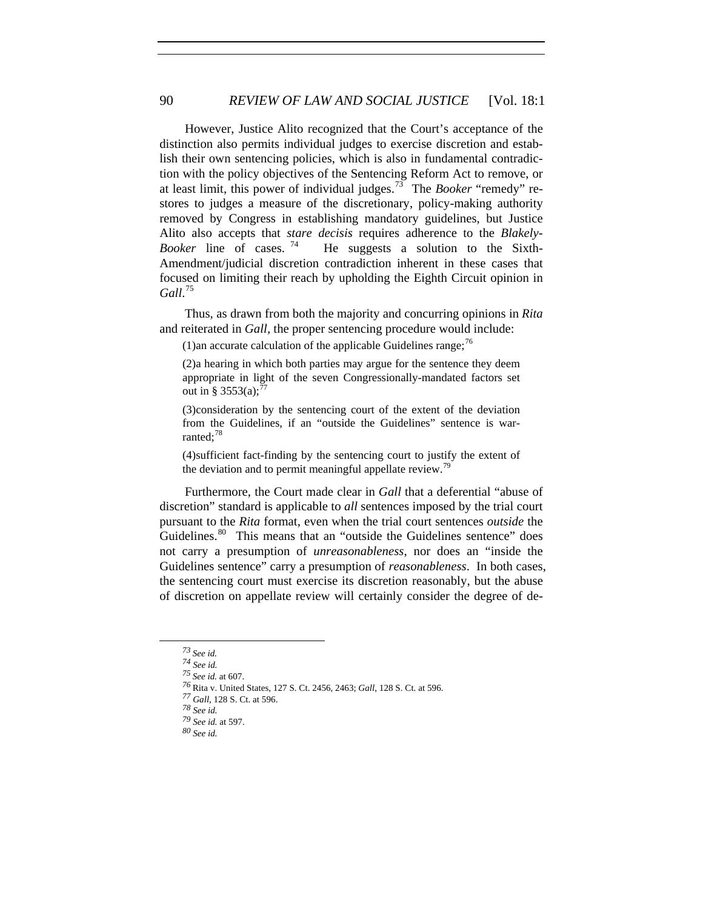However, Justice Alito recognized that the Court's acceptance of the distinction also permits individual judges to exercise discretion and establish their own sentencing policies, which is also in fundamental contradiction with the policy objectives of the Sentencing Reform Act to remove, or at least limit, this power of individual judges.[73](#page-11-0) The *Booker* "remedy" restores to judges a measure of the discretionary, policy-making authority removed by Congress in establishing mandatory guidelines, but Justice Alito also accepts that *stare decisis* requires adherence to the *Blakely-Booker* line of cases.<sup>[74](#page-11-1)</sup> He suggests a solution to the Sixth-Amendment/judicial discretion contradiction inherent in these cases that focused on limiting their reach by upholding the Eighth Circuit opinion in *Gall*. [75](#page-11-2)

Thus, as drawn from both the majority and concurring opinions in *Rita* and reiterated in *Gall,* the proper sentencing procedure would include:

(1) an accurate calculation of the applicable Guidelines range;<sup>[76](#page-11-3)</sup>

(2) a hearing in which both parties may argue for the sentence they deem appropriate in light of the seven Congressionally-mandated factors set out in § 3553(a);<sup>[77](#page-11-4)</sup>

(3) consideration by the sentencing court of the extent of the deviation from the Guidelines, if an "outside the Guidelines" sentence is warranted; $^{78}$  $^{78}$  $^{78}$ 

(4) sufficient fact-finding by the sentencing court to justify the extent of the deviation and to permit meaningful appellate review.<sup>19</sup>

Furthermore, the Court made clear in *Gall* that a deferential "abuse of discretion" standard is applicable to *all* sentences imposed by the trial court pursuant to the *Rita* format, even when the trial court sentences *outside* the Guidelines.<sup>[80](#page-11-7)</sup> This means that an "outside the Guidelines sentence" does not carry a presumption of *unreasonableness*, nor does an "inside the Guidelines sentence" carry a presumption of *reasonableness*. In both cases, the sentencing court must exercise its discretion reasonably, but the abuse of discretion on appellate review will certainly consider the degree of de-

<span id="page-11-0"></span>*<sup>73</sup> See id.*

<span id="page-11-1"></span>

*<sup>74</sup> See id. 75 See id.* at 607.

<span id="page-11-4"></span><span id="page-11-3"></span><span id="page-11-2"></span>*<sup>76</sup>*Rita v. United States, 127 S. Ct. 2456, 2463; *Gall*, 128 S. Ct. at 596.

*<sup>77</sup> Gall*, 128 S. Ct. at 596.

<span id="page-11-5"></span>*<sup>78</sup> See id. <sup>79</sup> See id.* at 597.

<span id="page-11-7"></span><span id="page-11-6"></span>*<sup>80</sup> See id.*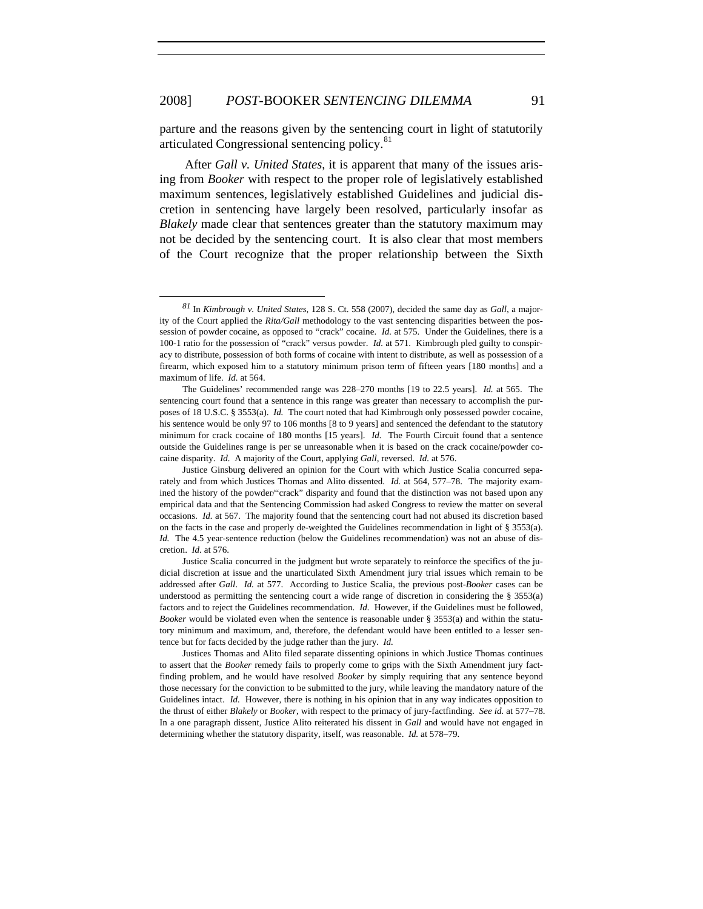$\overline{a}$ 

parture and the reasons given by the sentencing court in light of statutorily articulated Congressional sentencing policy.<sup>[81](#page-12-0)</sup>

After *Gall v. United States*, it is apparent that many of the issues arising from *Booker* with respect to the proper role of legislatively established maximum sentences, legislatively established Guidelines and judicial discretion in sentencing have largely been resolved, particularly insofar as *Blakely* made clear that sentences greater than the statutory maximum may not be decided by the sentencing court. It is also clear that most members of the Court recognize that the proper relationship between the Sixth

Justices Thomas and Alito filed separate dissenting opinions in which Justice Thomas continues to assert that the *Booker* remedy fails to properly come to grips with the Sixth Amendment jury factfinding problem, and he would have resolved *Booker* by simply requiring that any sentence beyond those necessary for the conviction to be submitted to the jury, while leaving the mandatory nature of the Guidelines intact. *Id.* However, there is nothing in his opinion that in any way indicates opposition to the thrust of either *Blakely* or *Booker*, with respect to the primacy of jury-factfinding. *See id.* at 577–78. In a one paragraph dissent, Justice Alito reiterated his dissent in *Gall* and would have not engaged in determining whether the statutory disparity, itself, was reasonable. *Id.* at 578–79.

<span id="page-12-0"></span>*<sup>81</sup>* In *Kimbrough v. United States*, 128 S. Ct. 558 (2007), decided the same day as *Gall,* a majority of the Court applied the *Rita/Gall* methodology to the vast sentencing disparities between the possession of powder cocaine, as opposed to "crack" cocaine. *Id.* at 575. Under the Guidelines, there is a 100-1 ratio for the possession of "crack" versus powder. *Id.* at 571. Kimbrough pled guilty to conspiracy to distribute, possession of both forms of cocaine with intent to distribute, as well as possession of a firearm, which exposed him to a statutory minimum prison term of fifteen years [180 months] and a maximum of life. *Id.* at 564.

The Guidelines' recommended range was 228–270 months [19 to 22.5 years]. *Id.* at 565. The sentencing court found that a sentence in this range was greater than necessary to accomplish the purposes of 18 U.S.C. § 3553(a). *Id.* The court noted that had Kimbrough only possessed powder cocaine, his sentence would be only 97 to 106 months [8 to 9 years] and sentenced the defendant to the statutory minimum for crack cocaine of 180 months [15 years]. *Id.* The Fourth Circuit found that a sentence outside the Guidelines range is per se unreasonable when it is based on the crack cocaine/powder cocaine disparity. *Id.* A majority of the Court, applying *Gall*, reversed. *Id.* at 576.

Justice Ginsburg delivered an opinion for the Court with which Justice Scalia concurred separately and from which Justices Thomas and Alito dissented. *Id.* at 564, 577–78. The majority examined the history of the powder/"crack" disparity and found that the distinction was not based upon any empirical data and that the Sentencing Commission had asked Congress to review the matter on several occasions. *Id.* at 567. The majority found that the sentencing court had not abused its discretion based on the facts in the case and properly de-weighted the Guidelines recommendation in light of § 3553(a). *Id.* The 4.5 year-sentence reduction (below the Guidelines recommendation) was not an abuse of discretion. *Id.* at 576.

Justice Scalia concurred in the judgment but wrote separately to reinforce the specifics of the judicial discretion at issue and the unarticulated Sixth Amendment jury trial issues which remain to be addressed after *Gall*. *Id.* at 577. According to Justice Scalia, the previous post-*Booker* cases can be understood as permitting the sentencing court a wide range of discretion in considering the  $\S$  3553(a) factors and to reject the Guidelines recommendation. *Id.* However, if the Guidelines must be followed, *Booker* would be violated even when the sentence is reasonable under § 3553(a) and within the statutory minimum and maximum, and, therefore, the defendant would have been entitled to a lesser sentence but for facts decided by the judge rather than the jury. *Id.*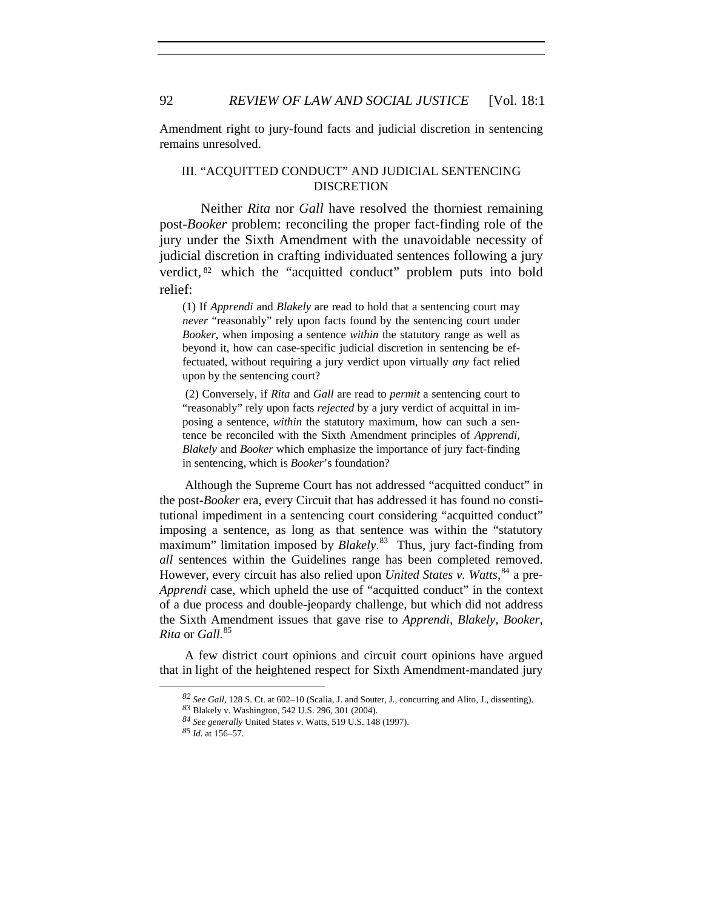Amendment right to jury-found facts and judicial discretion in sentencing remains unresolved.

# III. "ACQUITTED CONDUCT" AND JUDICIAL SENTENCING **DISCRETION**

Neither *Rita* nor *Gall* have resolved the thorniest remaining post-*Booker* problem: reconciling the proper fact-finding role of the jury under the Sixth Amendment with the unavoidable necessity of judicial discretion in crafting individuated sentences following a jury verdict, <sup>[82](#page-13-0)</sup> which the "acquitted conduct" problem puts into bold relief:

(1) If *Apprendi* and *Blakely* are read to hold that a sentencing court may *never* "reasonably" rely upon facts found by the sentencing court under *Booker*, when imposing a sentence *within* the statutory range as well as beyond it, how can case-specific judicial discretion in sentencing be effectuated, without requiring a jury verdict upon virtually *any* fact relied upon by the sentencing court?

 (2) Conversely, if *Rita* and *Gall* are read to *permit* a sentencing court to "reasonably" rely upon facts *rejected* by a jury verdict of acquittal in imposing a sentence, *within* the statutory maximum, how can such a sentence be reconciled with the Sixth Amendment principles of *Apprendi, Blakely* and *Booker* which emphasize the importance of jury fact-finding in sentencing, which is *Booker*'s foundation?

Although the Supreme Court has not addressed "acquitted conduct" in the post-*Booker* era, every Circuit that has addressed it has found no constitutional impediment in a sentencing court considering "acquitted conduct" imposing a sentence, as long as that sentence was within the "statutory maximum" limitation imposed by *Blakely*. [83](#page-13-1) Thus, jury fact-finding from *all* sentences within the Guidelines range has been completed removed. However, every circuit has also relied upon *United States v. Watts*,<sup>[84](#page-13-2)</sup> a pre-*Apprendi* case, which upheld the use of "acquitted conduct" in the context of a due process and double-jeopardy challenge, but which did not address the Sixth Amendment issues that gave rise to *Apprendi, Blakely, Booker*, *Rita* or *Gall*. [85](#page-13-3)

<span id="page-13-3"></span><span id="page-13-2"></span><span id="page-13-1"></span><span id="page-13-0"></span>A few district court opinions and circuit court opinions have argued that in light of the heightened respect for Sixth Amendment-mandated jury

*<sup>82</sup> See Gall*, 128 S. Ct. at 602–10 (Scalia, J. and Souter, J., concurring and Alito, J., dissenting).

*<sup>83</sup>* Blakely v. Washington, 542 U.S. 296, 301 (2004).

*<sup>84</sup> See generally* United States v. Watts, 519 U.S. 148 (1997).

*<sup>85</sup> Id.* at 156–57.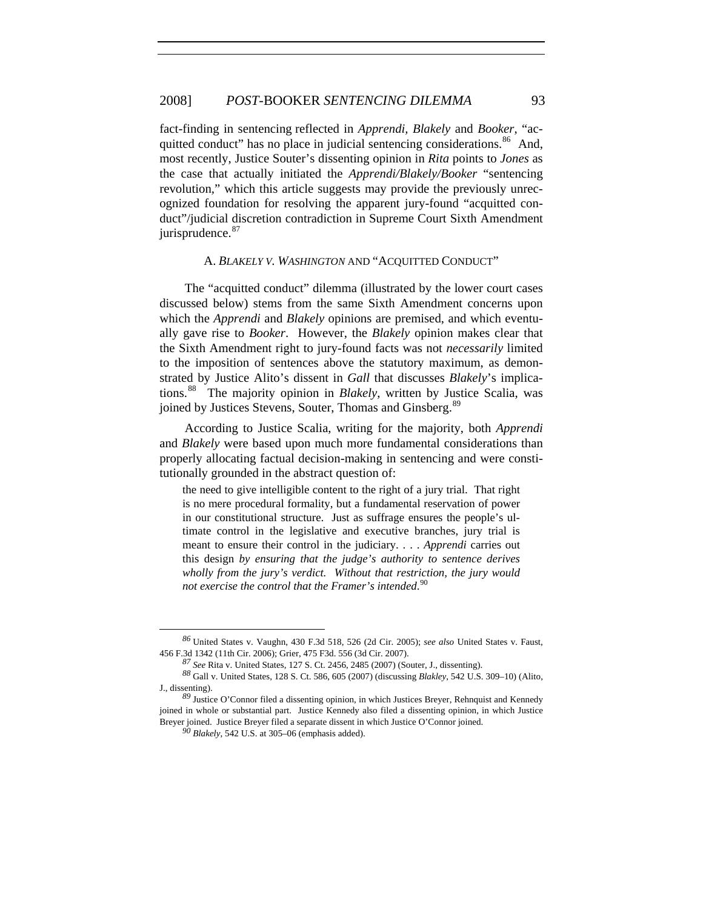## 2008] *POST-*BOOKER *SENTENCING DILEMMA* 93

fact-finding in sentencing reflected in *Apprendi, Blakely* and *Booker*, "ac-quitted conduct" has no place in judicial sentencing considerations.<sup>[86](#page-14-0)</sup> And, most recently, Justice Souter's dissenting opinion in *Rita* points to *Jones* as the case that actually initiated the *Apprendi/Blakely/Booker* "sentencing revolution*,*" which this article suggests may provide the previously unrecognized foundation for resolving the apparent jury-found "acquitted conduct"/judicial discretion contradiction in Supreme Court Sixth Amendment jurisprudence.<sup>[87](#page-14-1)</sup>

#### A. *BLAKELY V. WASHINGTON* AND "ACQUITTED CONDUCT"

The "acquitted conduct" dilemma (illustrated by the lower court cases discussed below) stems from the same Sixth Amendment concerns upon which the *Apprendi* and *Blakely* opinions are premised, and which eventually gave rise to *Booker*. However, the *Blakely* opinion makes clear that the Sixth Amendment right to jury-found facts was not *necessarily* limited to the imposition of sentences above the statutory maximum, as demonstrated by Justice Alito's dissent in *Gall* that discusses *Blakely*'s implications.[88](#page-14-2) The majority opinion in *Blakely*, written by Justice Scalia, was joined by Justices Stevens, Souter, Thomas and Ginsberg.<sup>[89](#page-14-3)</sup>

According to Justice Scalia, writing for the majority, both *Apprendi*  and *Blakely* were based upon much more fundamental considerations than properly allocating factual decision-making in sentencing and were constitutionally grounded in the abstract question of:

the need to give intelligible content to the right of a jury trial. That right is no mere procedural formality, but a fundamental reservation of power in our constitutional structure. Just as suffrage ensures the people's ultimate control in the legislative and executive branches, jury trial is meant to ensure their control in the judiciary. . . . *Apprendi* carries out this design *by ensuring that the judge's authority to sentence derives wholly from the jury's verdict. Without that restriction, the jury would not exercise the control that the Framer's intended*. [90](#page-14-4)

<span id="page-14-0"></span>*<sup>86</sup>* United States v. Vaughn, 430 F.3d 518, 526 (2d Cir. 2005); *see also* United States v. Faust, 456 F.3d 1342 (11th Cir. 2006); Grier, 475 F3d. 556 (3d Cir. 2007).

*<sup>87</sup> See* Rita v. United States, 127 S. Ct. 2456, 2485 (2007) (Souter, J., dissenting).

<span id="page-14-2"></span><span id="page-14-1"></span>*<sup>88</sup>* Gall v. United States, 128 S. Ct. 586, 605 (2007) (discussing *Blakley*, 542 U.S. 309–10) (Alito, J., dissenting).

<span id="page-14-4"></span><span id="page-14-3"></span>*<sup>89</sup>* Justice O'Connor filed a dissenting opinion, in which Justices Breyer, Rehnquist and Kennedy joined in whole or substantial part. Justice Kennedy also filed a dissenting opinion, in which Justice Breyer joined. Justice Breyer filed a separate dissent in which Justice O'Connor joined. *<sup>90</sup> Blakely*, 542 U.S. at 305–06 (emphasis added).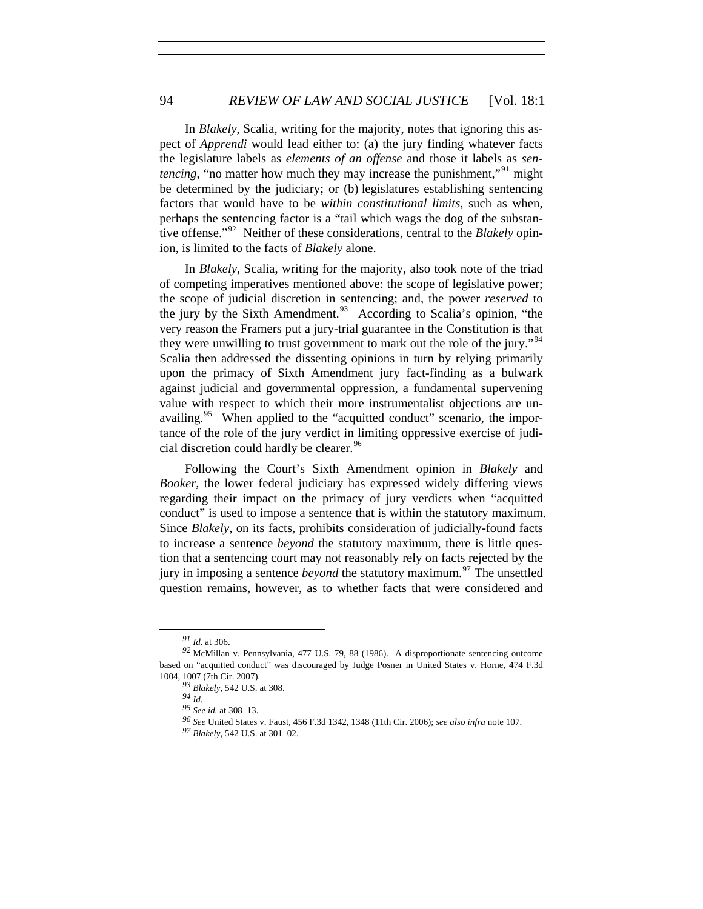In *Blakely*, Scalia, writing for the majority, notes that ignoring this aspect of *Apprendi* would lead either to: (a) the jury finding whatever facts the legislature labels as *elements of an offense* and those it labels as *sentencing*, "no matter how much they may increase the punishment,"<sup>[91](#page-15-0)</sup> might be determined by the judiciary; or (b) legislatures establishing sentencing factors that would have to be *within constitutional limits*, such as when, perhaps the sentencing factor is a "tail which wags the dog of the substantive offense."[92](#page-15-1) Neither of these considerations, central to the *Blakely* opinion, is limited to the facts of *Blakely* alone.

In *Blakely*, Scalia, writing for the majority, also took note of the triad of competing imperatives mentioned above: the scope of legislative power; the scope of judicial discretion in sentencing; and, the power *reserved* to the jury by the Sixth Amendment.<sup>[93](#page-15-2)</sup> According to Scalia's opinion, "the very reason the Framers put a jury-trial guarantee in the Constitution is that they were unwilling to trust government to mark out the role of the jury."<sup>[94](#page-15-3)</sup> Scalia then addressed the dissenting opinions in turn by relying primarily upon the primacy of Sixth Amendment jury fact-finding as a bulwark against judicial and governmental oppression, a fundamental supervening value with respect to which their more instrumentalist objections are un-availing.<sup>[95](#page-15-4)</sup> When applied to the "acquitted conduct" scenario, the importance of the role of the jury verdict in limiting oppressive exercise of judi-cial discretion could hardly be clearer.<sup>[96](#page-15-5)</sup>

Following the Court's Sixth Amendment opinion in *Blakely* and *Booker*, the lower federal judiciary has expressed widely differing views regarding their impact on the primacy of jury verdicts when "acquitted conduct" is used to impose a sentence that is within the statutory maximum. Since *Blakely*, on its facts, prohibits consideration of judicially-found facts to increase a sentence *beyond* the statutory maximum, there is little question that a sentencing court may not reasonably rely on facts rejected by the jury in imposing a sentence *beyond* the statutory maximum.<sup>[97](#page-15-6)</sup> The unsettled question remains, however, as to whether facts that were considered and

*<sup>91</sup> Id.* at 306.

<span id="page-15-6"></span><span id="page-15-5"></span><span id="page-15-4"></span><span id="page-15-3"></span><span id="page-15-2"></span><span id="page-15-1"></span><span id="page-15-0"></span>*<sup>92</sup>* McMillan v. Pennsylvania, 477 U.S. 79, 88 (1986). A disproportionate sentencing outcome based on "acquitted conduct" was discouraged by Judge Posner in United States v. Horne, 474 F.3d 1004, 1007 (7th Cir. 2007).

*<sup>93</sup> Blakely*, 542 U.S. at 308.

*<sup>94</sup> Id. <sup>95</sup> See id.* at 308–13.

*<sup>96</sup> See* United States v. Faust, 456 F.3d 1342, 1348 (11th Cir. 2006); *see also infra* note 107.

*<sup>97</sup> Blakely*, 542 U.S. at 301–02.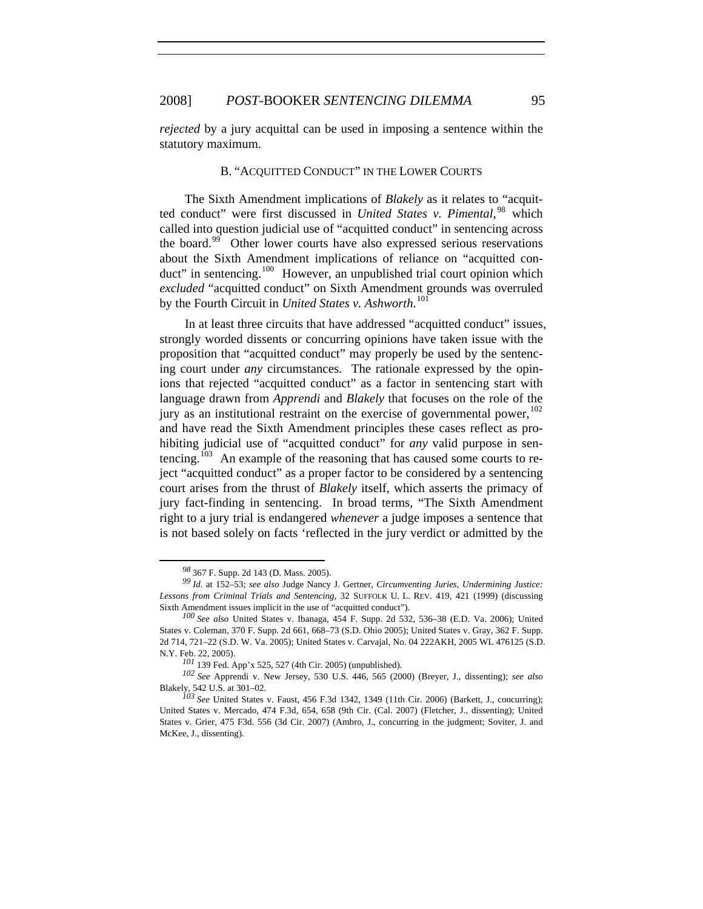*rejected* by a jury acquittal can be used in imposing a sentence within the statutory maximum.

## B. "ACQUITTED CONDUCT" IN THE LOWER COURTS

The Sixth Amendment implications of *Blakely* as it relates to "acquitted conduct" were first discussed in *United States v. Pimental*, [98](#page-16-0) which called into question judicial use of "acquitted conduct" in sentencing across the board.<sup>[99](#page-16-1)</sup> Other lower courts have also expressed serious reservations about the Sixth Amendment implications of reliance on "acquitted con-duct" in sentencing.<sup>[100](#page-16-2)</sup> However, an unpublished trial court opinion which *excluded* "acquitted conduct" on Sixth Amendment grounds was overruled by the Fourth Circuit in *United States v. Ashworth*. [101](#page-16-3)

In at least three circuits that have addressed "acquitted conduct" issues, strongly worded dissents or concurring opinions have taken issue with the proposition that "acquitted conduct" may properly be used by the sentencing court under *any* circumstances. The rationale expressed by the opinions that rejected "acquitted conduct" as a factor in sentencing start with language drawn from *Apprendi* and *Blakely* that focuses on the role of the jury as an institutional restraint on the exercise of governmental power,  $^{102}$  $^{102}$  $^{102}$ and have read the Sixth Amendment principles these cases reflect as prohibiting judicial use of "acquitted conduct" for *any* valid purpose in sen-tencing.<sup>[103](#page-16-5)</sup> An example of the reasoning that has caused some courts to reject "acquitted conduct" as a proper factor to be considered by a sentencing court arises from the thrust of *Blakely* itself, which asserts the primacy of jury fact-finding in sentencing. In broad terms, "The Sixth Amendment right to a jury trial is endangered *whenever* a judge imposes a sentence that is not based solely on facts 'reflected in the jury verdict or admitted by the

*<sup>98</sup>*367 F. Supp. 2d 143 (D. Mass. 2005).

<span id="page-16-1"></span><span id="page-16-0"></span>*<sup>99</sup> Id.* at 152–53; *see also* Judge Nancy J. Gertner, *Circumventing Juries, Undermining Justice: Lessons from Criminal Trials and Sentencing*, 32 SUFFOLK U. L. REV. 419, 421 (1999) (discussing Sixth Amendment issues implicit in the use of "acquitted conduct").

<span id="page-16-2"></span>*<sup>100</sup> See also* United States v. Ibanaga, 454 F. Supp. 2d 532, 536–38 (E.D. Va. 2006); United States v. Coleman, 370 F. Supp. 2d 661, 668–73 (S.D. Ohio 2005); United States v. Gray, 362 F. Supp. 2d 714, 721–22 (S.D. W. Va. 2005); United States v. Carvajal, No. 04 222AKH, 2005 WL 476125 (S.D. N.Y. Feb. 22, 2005).

*<sup>101</sup>* 139 Fed. App'x 525, 527 (4th Cir. 2005) (unpublished).

<span id="page-16-4"></span><span id="page-16-3"></span>*<sup>102</sup> See* Apprendi v. New Jersey, 530 U.S. 446, 565 (2000) (Breyer, J., dissenting); *see also* Blakely, 542 U.S. at 301–02.

<span id="page-16-5"></span>*<sup>103</sup> See* United States v. Faust, 456 F.3d 1342, 1349 (11th Cir. 2006) (Barkett, J., concurring); United States v. Mercado, 474 F.3d, 654, 658 (9th Cir. (Cal. 2007) (Fletcher, J., dissenting); United States v. Grier, 475 F3d. 556 (3d Cir. 2007) (Ambro, J., concurring in the judgment; Soviter, J. and McKee, J., dissenting).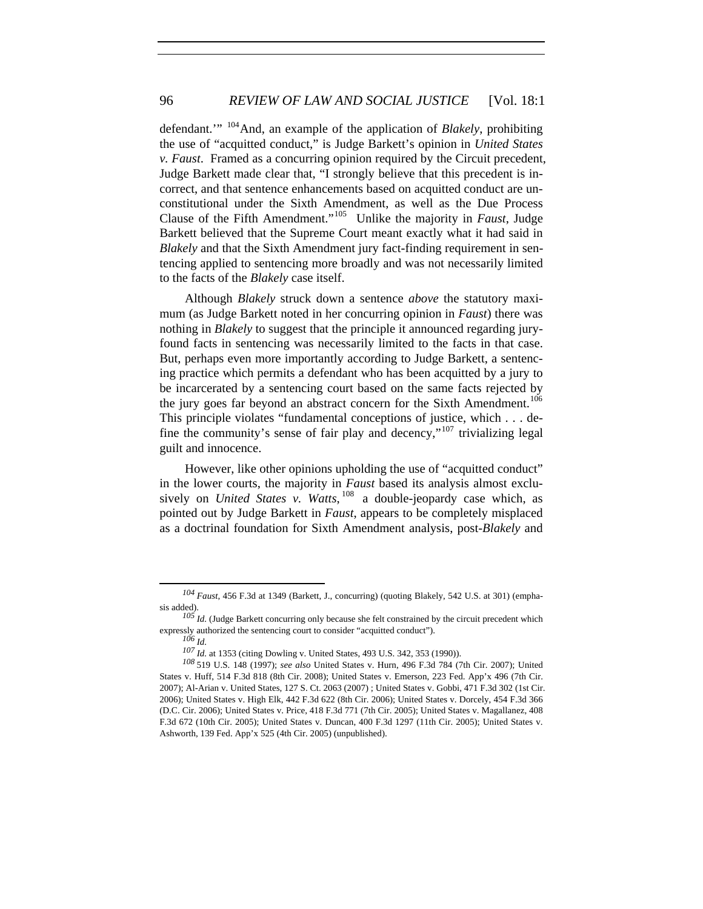defendant.'" [104](#page-17-0)And, an example of the application of *Blakely*, prohibiting the use of "acquitted conduct," is Judge Barkett's opinion in *United States v. Faust*. Framed as a concurring opinion required by the Circuit precedent, Judge Barkett made clear that, "I strongly believe that this precedent is incorrect, and that sentence enhancements based on acquitted conduct are unconstitutional under the Sixth Amendment, as well as the Due Process Clause of the Fifth Amendment."[105](#page-17-1) Unlike the majority in *Faust*, Judge Barkett believed that the Supreme Court meant exactly what it had said in *Blakely* and that the Sixth Amendment jury fact-finding requirement in sentencing applied to sentencing more broadly and was not necessarily limited to the facts of the *Blakely* case itself.

Although *Blakely* struck down a sentence *above* the statutory maximum (as Judge Barkett noted in her concurring opinion in *Faust*) there was nothing in *Blakely* to suggest that the principle it announced regarding juryfound facts in sentencing was necessarily limited to the facts in that case. But, perhaps even more importantly according to Judge Barkett, a sentencing practice which permits a defendant who has been acquitted by a jury to be incarcerated by a sentencing court based on the same facts rejected by the jury goes far beyond an abstract concern for the Sixth Amendment.<sup>[106](#page-17-2)</sup> This principle violates "fundamental conceptions of justice, which . . . de-fine the community's sense of fair play and decency,"<sup>[107](#page-17-3)</sup> trivializing legal guilt and innocence.

However, like other opinions upholding the use of "acquitted conduct" in the lower courts, the majority in *Faust* based its analysis almost exclusively on *United States v. Watts*, [108](#page-17-4) a double-jeopardy case which, as pointed out by Judge Barkett in *Faust*, appears to be completely misplaced as a doctrinal foundation for Sixth Amendment analysis, post-*Blakely* and

<span id="page-17-0"></span>*<sup>104</sup> Faust*, 456 F.3d at 1349 (Barkett, J., concurring) (quoting Blakely, 542 U.S. at 301) (emphasis added).

<span id="page-17-2"></span><span id="page-17-1"></span>*<sup>105</sup> Id.* (Judge Barkett concurring only because she felt constrained by the circuit precedent which expressly authorized the sentencing court to consider "acquitted conduct").

*<sup>106</sup> Id.*

*<sup>107</sup> Id.* at 1353 (citing Dowling v. United States, 493 U.S. 342, 353 (1990)).

<span id="page-17-4"></span><span id="page-17-3"></span>*<sup>108</sup>*519 U.S. 148 (1997); *see also* United States v. Hurn, 496 F.3d 784 (7th Cir. 2007); United States v. Huff, 514 F.3d 818 (8th Cir. 2008); United States v. Emerson, 223 Fed. App'x 496 (7th Cir. 2007); Al-Arian v. United States, 127 S. Ct. 2063 (2007) ; United States v. Gobbi, 471 F.3d 302 (1st Cir. 2006); United States v. High Elk, 442 F.3d 622 (8th Cir. 2006); United States v. Dorcely, 454 F.3d 366 (D.C. Cir. 2006); United States v. Price, 418 F.3d 771 (7th Cir. 2005); United States v. Magallanez, 408 F.3d 672 (10th Cir. 2005); United States v. Duncan, 400 F.3d 1297 (11th Cir. 2005); United States v. Ashworth, 139 Fed. App'x 525 (4th Cir. 2005) (unpublished).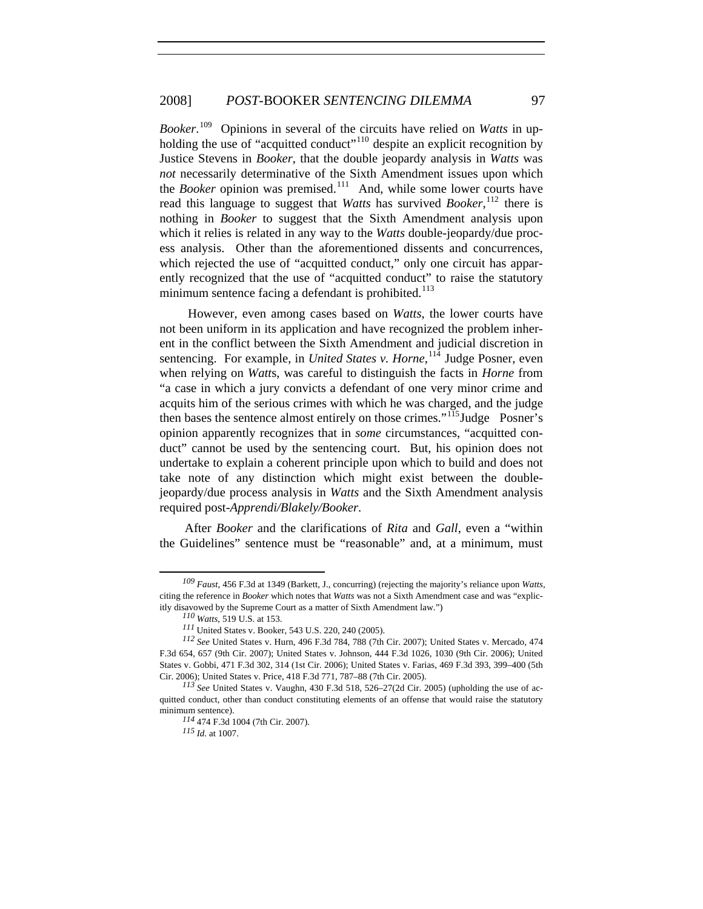*Booker*. [109](#page-18-0) Opinions in several of the circuits have relied on *Watts* in up-holding the use of "acquitted conduct"<sup>[110](#page-18-1)</sup> despite an explicit recognition by Justice Stevens in *Booker*, that the double jeopardy analysis in *Watts* was *not* necessarily determinative of the Sixth Amendment issues upon which the *Booker* opinion was premised.<sup>[111](#page-18-2)</sup> And, while some lower courts have read this language to suggest that *Watts* has survived *Booker*, [112](#page-18-3) there is nothing in *Booker* to suggest that the Sixth Amendment analysis upon which it relies is related in any way to the *Watts* double-jeopardy/due process analysis. Other than the aforementioned dissents and concurrences, which rejected the use of "acquitted conduct," only one circuit has apparently recognized that the use of "acquitted conduct" to raise the statutory minimum sentence facing a defendant is prohibited.<sup>[113](#page-18-4)</sup>

 However, even among cases based on *Watts*, the lower courts have not been uniform in its application and have recognized the problem inherent in the conflict between the Sixth Amendment and judicial discretion in sentencing. For example, in *United States v. Horne*, <sup>[114](#page-18-5)</sup> Judge Posner, even when relying on *Watt*s, was careful to distinguish the facts in *Horne* from "a case in which a jury convicts a defendant of one very minor crime and acquits him of the serious crimes with which he was charged, and the judge then bases the sentence almost entirely on those crimes."<sup>[115](#page-18-6)</sup>Judge Posner's opinion apparently recognizes that in *some* circumstances, "acquitted conduct" cannot be used by the sentencing court. But, his opinion does not undertake to explain a coherent principle upon which to build and does not take note of any distinction which might exist between the doublejeopardy/due process analysis in *Watts* and the Sixth Amendment analysis required post-*Apprendi/Blakely/Booker*.

After *Booker* and the clarifications of *Rita* and *Gall*, even a "within the Guidelines" sentence must be "reasonable" and, at a minimum, must

<span id="page-18-0"></span>*<sup>109</sup> Faust*, 456 F.3d at 1349 (Barkett, J., concurring) (rejecting the majority's reliance upon *Watts*, citing the reference in *Booker* which notes that *Watts* was not a Sixth Amendment case and was "explicitly disavowed by the Supreme Court as a matter of Sixth Amendment law.")

*<sup>110</sup> Watts*, 519 U.S. at 153.

*<sup>111</sup>*United States v. Booker, 543 U.S. 220, 240 (2005).

<span id="page-18-3"></span><span id="page-18-2"></span><span id="page-18-1"></span>*<sup>112</sup> See* United States v. Hurn, 496 F.3d 784, 788 (7th Cir. 2007); United States v. Mercado, 474 F.3d 654, 657 (9th Cir. 2007); United States v. Johnson, 444 F.3d 1026, 1030 (9th Cir. 2006); United States v. Gobbi, 471 F.3d 302, 314 (1st Cir. 2006); United States v. Farias, 469 F.3d 393, 399–400 (5th Cir. 2006); United States v. Price, 418 F.3d 771, 787–88 (7th Cir. 2005).

<span id="page-18-6"></span><span id="page-18-5"></span><span id="page-18-4"></span>*<sup>113</sup> See* United States v. Vaughn, 430 F.3d 518, 526–27(2d Cir. 2005) (upholding the use of acquitted conduct, other than conduct constituting elements of an offense that would raise the statutory minimum sentence).

*<sup>114</sup>* 474 F.3d 1004 (7th Cir. 2007).

*<sup>115</sup> Id.* at 1007.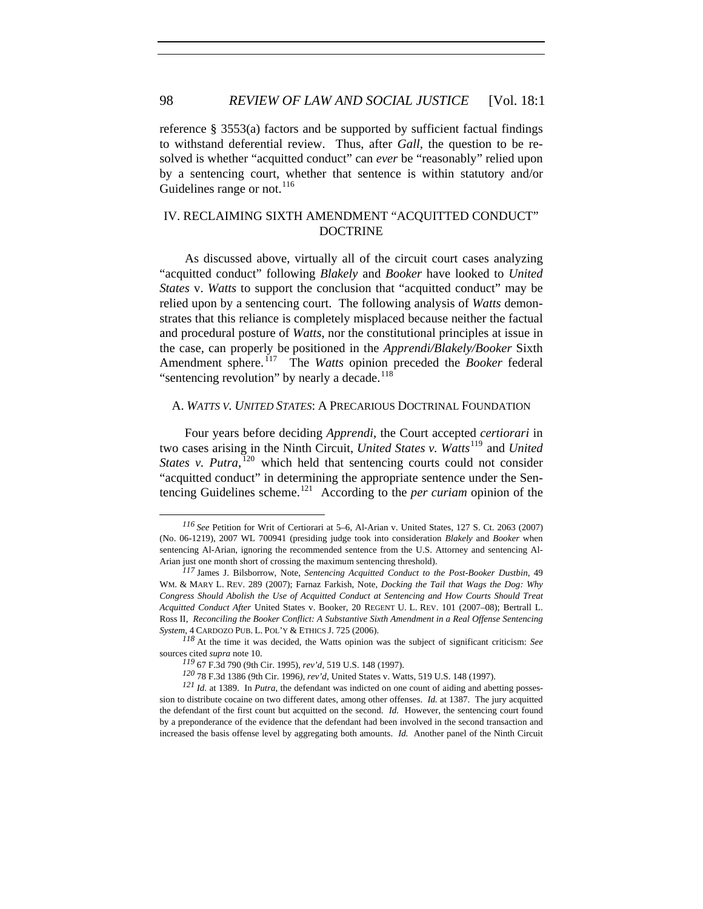reference § 3553(a) factors and be supported by sufficient factual findings to withstand deferential review. Thus, after *Gall,* the question to be resolved is whether "acquitted conduct" can *ever* be "reasonably" relied upon by a sentencing court, whether that sentence is within statutory and/or Guidelines range or not. $^{116}$  $^{116}$  $^{116}$ 

# IV. RECLAIMING SIXTH AMENDMENT "ACQUITTED CONDUCT" DOCTRINE

As discussed above, virtually all of the circuit court cases analyzing "acquitted conduct" following *Blakely* and *Booker* have looked to *United States* v. *Watts* to support the conclusion that "acquitted conduct" may be relied upon by a sentencing court. The following analysis of *Watts* demonstrates that this reliance is completely misplaced because neither the factual and procedural posture of *Watts*, nor the constitutional principles at issue in the case, can properly be positioned in the *Apprendi/Blakely/Booker* Sixth Amendment sphere.<sup>[117](#page-19-1)</sup> The *Watts* opinion preceded the *Booker* federal "sentencing revolution" by nearly a decade. $^{118}$  $^{118}$  $^{118}$ 

#### A. *WATTS V. UNITED STATES*: A PRECARIOUS DOCTRINAL FOUNDATION

Four years before deciding *Apprendi*, the Court accepted *certiorari* in two cases arising in the Ninth Circuit, *United States v. Watts*[119](#page-19-3) and *United*  States v. Putra,<sup>[120](#page-19-4)</sup> which held that sentencing courts could not consider "acquitted conduct" in determining the appropriate sentence under the Sentencing Guidelines scheme.[121](#page-19-5) According to the *per curiam* opinion of the

<span id="page-19-0"></span>*<sup>116</sup> See* Petition for Writ of Certiorari at 5–6, Al-Arian v. United States, 127 S. Ct. 2063 (2007) (No. 06-1219), 2007 WL 700941 (presiding judge took into consideration *Blakely* and *Booker* when sentencing Al-Arian, ignoring the recommended sentence from the U.S. Attorney and sentencing Al-Arian just one month short of crossing the maximum sentencing threshold).

<span id="page-19-1"></span>*<sup>117</sup>* James J. Bilsborrow, Note, *Sentencing Acquitted Conduct to the Post-Booker Dustbin*, [49](http://web2.westlaw.com/result/result.aspx?vr=2.0&sskey=CLID_SSSA35511643&effdate=1%2f1%2f0001+12%3a00%3a00+AM&rs=WLW8.02&fn=_top&fmqv=s&rlti=1&ss=CNT&method=WIN&eq=search&n=20&rltdb=CLID_DB21511643&db=JLR&cnt=DOC&sv=Split&rp=%2fsearch%2fdefault.wl&scxt=WL&cfid=1&rlt=CLID_QRYRLT36511643&srch=TRUE&origin=Search&mt=LawSchoolPractitioner&service=Search&query=acquitted+conduct)  WM. & MARY L. [REV. 289](http://web2.westlaw.com/result/result.aspx?vr=2.0&sskey=CLID_SSSA35511643&effdate=1%2f1%2f0001+12%3a00%3a00+AM&rs=WLW8.02&fn=_top&fmqv=s&rlti=1&ss=CNT&method=WIN&eq=search&n=20&rltdb=CLID_DB21511643&db=JLR&cnt=DOC&sv=Split&rp=%2fsearch%2fdefault.wl&scxt=WL&cfid=1&rlt=CLID_QRYRLT36511643&srch=TRUE&origin=Search&mt=LawSchoolPractitioner&service=Search&query=acquitted+conduct) (2007); Farnaz Farkish, Note, *Docking the Tail that Wags the Dog: Why Congress Should Abolish the Use of Acquitted Conduct at Sentencing and How Courts Should Treat Acquitted Conduct After* United States v. Booker, 20 REGENT U. L. REV. 101 (2007–08); Bertrall L. Ross II, *Reconciling the Booker Conflict: A Substantive Sixth Amendment in a Real Offense Sentencing System*, 4 CARDOZO PUB. L. POL'Y & ETHICS J. 725 (2006).

<span id="page-19-2"></span>*<sup>118</sup>* At the time it was decided, the Watts opinion was the subject of significant criticism: *See* sources cited *supra* note 10.

*<sup>119</sup>* 67 F.3d 790 (9th Cir. 1995), *rev'd*, 519 U.S. 148 (1997).

*<sup>120</sup>* 78 F.3d 1386 (9th Cir. 1996*), rev'd*, United States v. Watts, 519 U.S. 148 (1997).

<span id="page-19-5"></span><span id="page-19-4"></span><span id="page-19-3"></span>*<sup>121</sup> Id.* at 1389. In *Putra*, the defendant was indicted on one count of aiding and abetting possession to distribute cocaine on two different dates, among other offenses. *Id.* at 1387. The jury acquitted the defendant of the first count but acquitted on the second. *Id.* However, the sentencing court found by a preponderance of the evidence that the defendant had been involved in the second transaction and increased the basis offense level by aggregating both amounts. *Id.* Another panel of the Ninth Circuit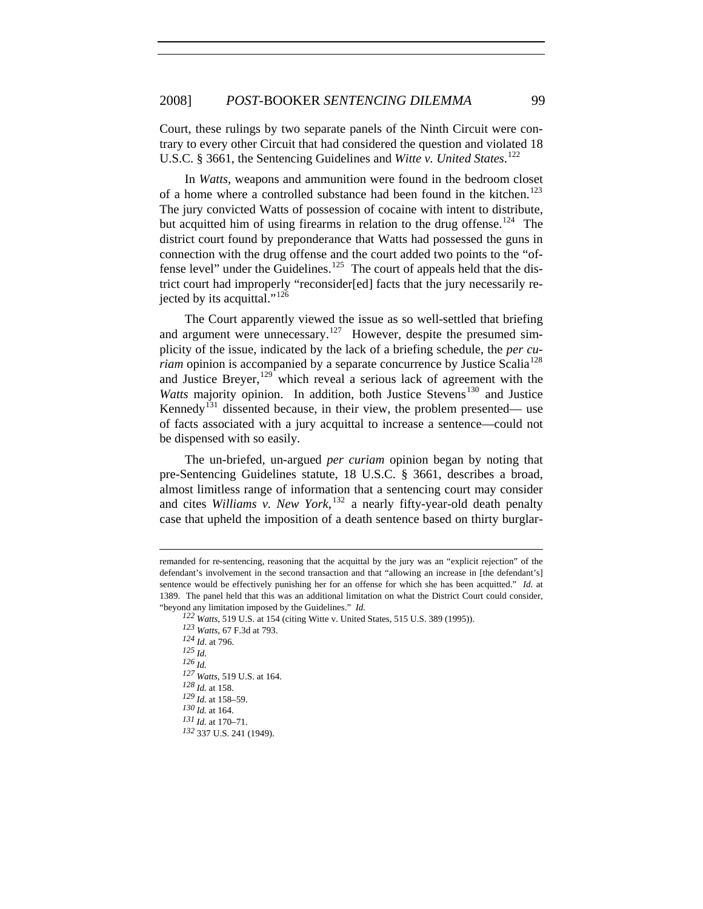Court, these rulings by two separate panels of the Ninth Circuit were contrary to every other Circuit that had considered the question and violated 18 U.S.C. § 3661, the Sentencing Guidelines and *Witte v. United States*.<sup>[122](#page-20-0)</sup>

In *Watts*, weapons and ammunition were found in the bedroom closet of a home where a controlled substance had been found in the kitchen.<sup>[123](#page-20-1)</sup> The jury convicted Watts of possession of cocaine with intent to distribute, but acquitted him of using firearms in relation to the drug offense.<sup>[124](#page-20-2)</sup> The district court found by preponderance that Watts had possessed the guns in connection with the drug offense and the court added two points to the "of-fense level" under the Guidelines.<sup>[125](#page-20-3)</sup> The court of appeals held that the district court had improperly "reconsider[ed] facts that the jury necessarily re-jected by its acquittal."<sup>[126](#page-20-4)</sup>

The Court apparently viewed the issue as so well-settled that briefing and argument were unnecessary.<sup>[127](#page-20-5)</sup> However, despite the presumed simplicity of the issue, indicated by the lack of a briefing schedule, the *per curiam* opinion is accompanied by a separate concurrence by Justice Scalia<sup>[128](#page-20-6)</sup> and Justice Breyer,  $129$  which reveal a serious lack of agreement with the *Watts* majority opinion. In addition, both Justice Stevens<sup>[130](#page-20-8)</sup> and Justice Kennedy<sup>[131](#page-20-9)</sup> dissented because, in their view, the problem presented— use of facts associated with a jury acquittal to increase a sentence—could not be dispensed with so easily.

The un-briefed, un-argued *per curiam* opinion began by noting that pre-Sentencing Guidelines statute, 18 U.S.C. § 3661, describes a broad, almost limitless range of information that a sentencing court may consider and cites *Williams v. New York*, [132](#page-20-10) a nearly fifty-year-old death penalty case that upheld the imposition of a death sentence based on thirty burglar-

<span id="page-20-8"></span><span id="page-20-7"></span><span id="page-20-6"></span><span id="page-20-5"></span><span id="page-20-4"></span><span id="page-20-3"></span><span id="page-20-2"></span>

<span id="page-20-10"></span><span id="page-20-9"></span>*<sup>123</sup> Watts*, 67 F.3d at 793. *<sup>124</sup> Id.* at 796. *<sup>125</sup> Id. 126 Id. 127 Watts*, 519 U.S. at 164. *128 Id.* at 158. *129 Id.* at 158–59. *130 Id.* at 164. *131 Id.* at 170–71. *<sup>132</sup>* 337 U.S. 241 (1949).

1

<span id="page-20-1"></span><span id="page-20-0"></span>remanded for re-sentencing, reasoning that the acquittal by the jury was an "explicit rejection" of the defendant's involvement in the second transaction and that "allowing an increase in [the defendant's] sentence would be effectively punishing her for an offense for which she has been acquitted." *Id.* at 1389. The panel held that this was an additional limitation on what the District Court could consider, "beyond any limitation imposed by the Guidelines." *Id. <sup>122</sup> Watts*, 519 U.S. at 154 (citing Witte v. United States, 515 U.S. 389 (1995)).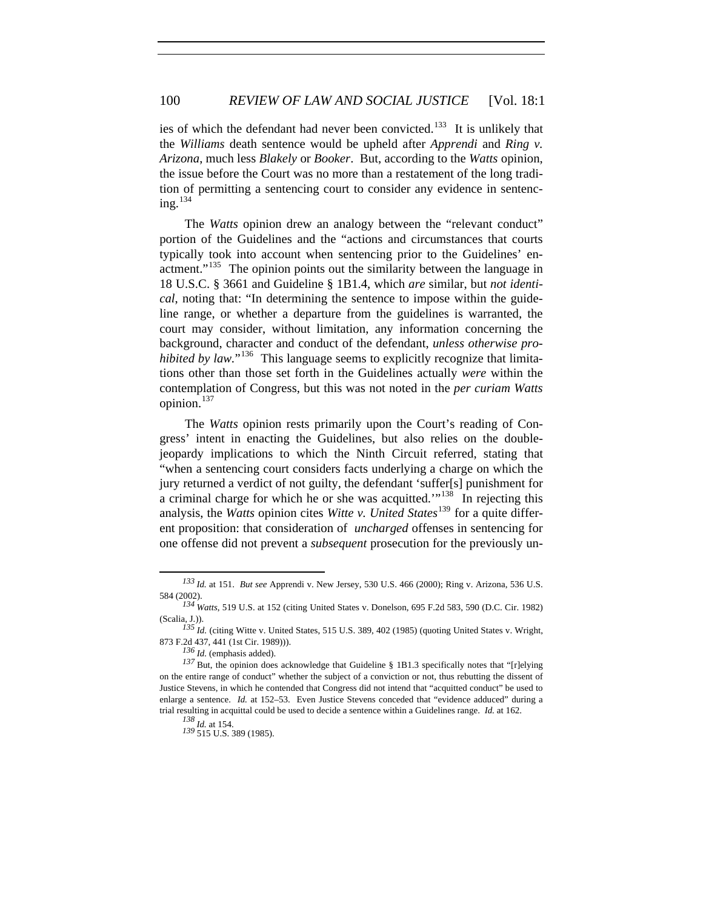ies of which the defendant had never been convicted.<sup>[133](#page-21-0)</sup> It is unlikely that the *Williams* death sentence would be upheld after *Apprendi* and *Ring v. Arizona*, much less *Blakely* or *Booker*. But, according to the *Watts* opinion, the issue before the Court was no more than a restatement of the long tradition of permitting a sentencing court to consider any evidence in sentencing.[134](#page-21-1)

The *Watts* opinion drew an analogy between the "relevant conduct" portion of the Guidelines and the "actions and circumstances that courts typically took into account when sentencing prior to the Guidelines' en-actment."<sup>[135](#page-21-2)</sup> The opinion points out the similarity between the language in 18 U.S.C. § 3661 and Guideline § 1B1.4, which *are* similar, but *not identical*, noting that: "In determining the sentence to impose within the guideline range, or whether a departure from the guidelines is warranted, the court may consider, without limitation, any information concerning the background, character and conduct of the defendant, *unless otherwise prohibited by law.*"<sup>[136](#page-21-3)</sup> This language seems to explicitly recognize that limitations other than those set forth in the Guidelines actually *were* within the contemplation of Congress, but this was not noted in the *per curiam Watts* opinion.<sup>[137](#page-21-4)</sup>

The *Watts* opinion rests primarily upon the Court's reading of Congress' intent in enacting the Guidelines, but also relies on the doublejeopardy implications to which the Ninth Circuit referred, stating that "when a sentencing court considers facts underlying a charge on which the jury returned a verdict of not guilty, the defendant 'suffer[s] punishment for a criminal charge for which he or she was acquitted.'"<sup>[138](#page-21-5)</sup> In rejecting this analysis, the *Watts* opinion cites *Witte v. United States*<sup>[139](#page-21-6)</sup> for a quite different proposition: that consideration of *uncharged* offenses in sentencing for one offense did not prevent a *subsequent* prosecution for the previously un-

<span id="page-21-0"></span>*<sup>133</sup> Id.* at 151. *But see* Apprendi v. New Jersey, 530 U.S. 466 (2000); Ring v. Arizona, 536 U.S. 584 (2002).

<span id="page-21-1"></span>*<sup>134</sup> Watts*, 519 U.S. at 152 (citing United States v. Donelson, 695 F.2d 583, 590 (D.C. Cir. 1982) (Scalia, J.)).

<span id="page-21-3"></span><span id="page-21-2"></span>*<sup>135</sup> Id.* (citing Witte v. United States, 515 U.S. 389, 402 (1985) (quoting United States v. Wright, 873 F.2d 437, 441 (1st Cir. 1989))).

*<sup>136</sup> Id.* (emphasis added).

<span id="page-21-6"></span><span id="page-21-5"></span><span id="page-21-4"></span>*<sup>137</sup>* But, the opinion does acknowledge that Guideline § 1B1.3 specifically notes that "[r]elying on the entire range of conduct" whether the subject of a conviction or not, thus rebutting the dissent of Justice Stevens, in which he contended that Congress did not intend that "acquitted conduct" be used to enlarge a sentence. *Id.* at 152–53. Even Justice Stevens conceded that "evidence adduced" during a trial resulting in acquittal could be used to decide a sentence within a Guidelines range. *Id.* at 162.

*<sup>138</sup> Id.* at 154.

*<sup>139</sup>* 515 U.S. 389 (1985).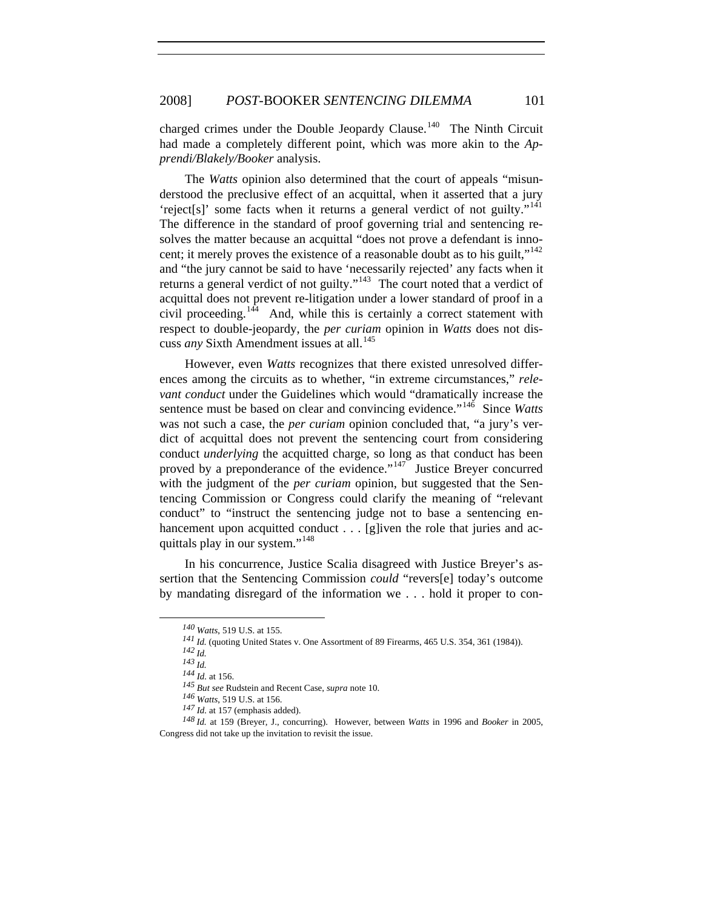charged crimes under the Double Jeopardy Clause.<sup>[140](#page-22-0)</sup> The Ninth Circuit had made a completely different point, which was more akin to the *Apprendi/Blakely/Booker* analysis.

cuss *any* Sixth Amendment issues at all.<sup>145</sup> The *Watts* opinion also determined that the court of appeals "misunderstood the preclusive effect of an acquittal, when it asserted that a jury 'reject[s]' some facts when it returns a general verdict of not guilty."[141](#page-22-1) The difference in the standard of proof governing trial and sentencing resolves the matter because an acquittal "does not prove a defendant is inno-cent; it merely proves the existence of a reasonable doubt as to his guilt,"<sup>[142](#page-22-2)</sup> and "the jury cannot be said to have 'necessarily rejected' any facts when it returns a general verdict of not guilty."<sup>[143](#page-22-3)</sup> The court noted that a verdict of acquittal does not prevent re-litigation under a lower standard of proof in a civil proceeding.<sup>[144](#page-22-4)</sup> And, while this is certainly a correct statement with respect to double-jeopardy, the *per curiam* opinion in *Watts* does not dis-

However, even *Watts* recognizes that there existed unresolved differences among the circuits as to whether, "in extreme circumstances," *relevant conduct* under the Guidelines which would "dramatically increase the sentence must be based on clear and convincing evidence."<sup>[146](#page-22-5)</sup> Since *Watts* was not such a case, the *per curiam* opinion concluded that, "a jury's verdict of acquittal does not prevent the sentencing court from considering conduct *underlying* the acquitted charge, so long as that conduct has been proved by a preponderance of the evidence."<sup>[147](#page-22-6)</sup> Justice Breyer concurred with the judgment of the *per curiam* opinion, but suggested that the Sentencing Commission or Congress could clarify the meaning of "relevant conduct" to "instruct the sentencing judge not to base a sentencing enhancement upon acquitted conduct . . . [g]iven the role that juries and acquittals play in our system."[148](#page-22-7)

<span id="page-22-1"></span><span id="page-22-0"></span>In his concurrence, Justice Scalia disagreed with Justice Breyer's assertion that the Sentencing Commission *could* "revers[e] today's outcome by mandating disregard of the information we . . . hold it proper to con-

*<sup>140</sup> Watts*, 519 U.S. at 155.

*<sup>141</sup> Id.* (quoting United States v. One Assortment of 89 Firearms, 465 U.S. 354, 361 (1984)). *142 Id.*

*<sup>143</sup> Id.*

*<sup>144</sup> Id.* at 156.

*<sup>145</sup> But see* Rudstein and Recent Case, *supra* note 10.

*<sup>146</sup> Watts*, 519 U.S. at 156.

*<sup>147</sup> Id.* at 157 (emphasis added).

<span id="page-22-7"></span><span id="page-22-6"></span><span id="page-22-5"></span><span id="page-22-4"></span><span id="page-22-3"></span><span id="page-22-2"></span>*<sup>148</sup> Id.* at 159 (Breyer, J., concurring). However, between *Watts* in 1996 and *Booker* in 2005, Congress did not take up the invitation to revisit the issue.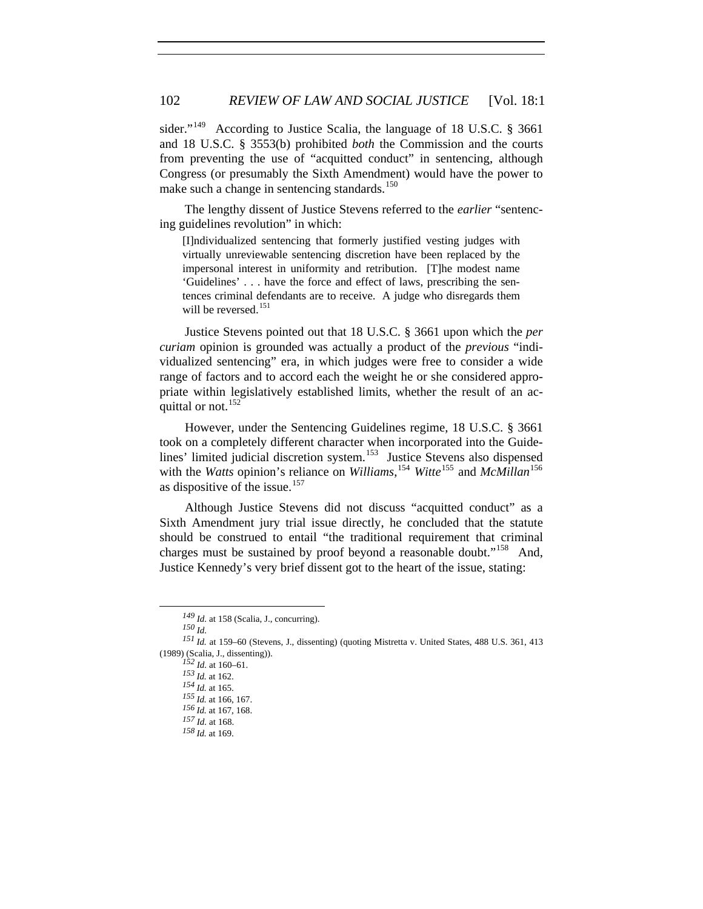sider."<sup>[149](#page-23-0)</sup> According to Justice Scalia, the language of 18 U.S.C. § 3661 and 18 U.S.C. § 3553(b) prohibited *both* the Commission and the courts from preventing the use of "acquitted conduct" in sentencing, although Congress (or presumably the Sixth Amendment) would have the power to make such a change in sentencing standards.<sup>[150](#page-23-1)</sup>

The lengthy dissent of Justice Stevens referred to the *earlier* "sentencing guidelines revolution" in which:

[I]ndividualized sentencing that formerly justified vesting judges with virtually unreviewable sentencing discretion have been replaced by the impersonal interest in uniformity and retribution. [T]he modest name 'Guidelines' . . . have the force and effect of laws, prescribing the sentences criminal defendants are to receive. A judge who disregards them will be reversed.<sup>[151](#page-23-2)</sup>

Justice Stevens pointed out that 18 U.S.C. § 3661 upon which the *per curiam* opinion is grounded was actually a product of the *previous* "individualized sentencing" era, in which judges were free to consider a wide range of factors and to accord each the weight he or she considered appropriate within legislatively established limits, whether the result of an ac-quittal or not.<sup>[152](#page-23-3)</sup>

However, under the Sentencing Guidelines regime, 18 U.S.C. § 3661 took on a completely different character when incorporated into the Guide-lines' limited judicial discretion system.<sup>[153](#page-23-4)</sup> Justice Stevens also dispensed with the *Watts* opinion's reliance on *Williams*, [154](#page-23-5) *Witte*[155](#page-23-6) and *McMillan*[156](#page-23-7) as dispositive of the issue.<sup>[157](#page-23-8)</sup>

Although Justice Stevens did not discuss "acquitted conduct" as a Sixth Amendment jury trial issue directly, he concluded that the statute should be construed to entail "the traditional requirement that criminal charges must be sustained by proof beyond a reasonable doubt."<sup>[158](#page-23-9)</sup> And, Justice Kennedy's very brief dissent got to the heart of the issue, stating:

*<sup>149</sup> Id.* at 158 (Scalia, J., concurring).

*<sup>150</sup> Id.* 

<span id="page-23-8"></span><span id="page-23-7"></span><span id="page-23-6"></span><span id="page-23-5"></span><span id="page-23-4"></span><span id="page-23-3"></span><span id="page-23-2"></span><span id="page-23-1"></span><span id="page-23-0"></span>*<sup>151</sup> Id.* at 159–60 (Stevens, J., dissenting) (quoting Mistretta v. United States, 488 U.S. 361, 413 (1989) (Scalia, J., dissenting)).

*<sup>152</sup> Id.* at 160–61. *153 Id.* at 162. *154 Id.* at 165. *155 Id.* at 166, 167. *156 Id.* at 167, 168. *<sup>157</sup> Id.* at 168.

<span id="page-23-9"></span>*<sup>158</sup> Id.* at 169.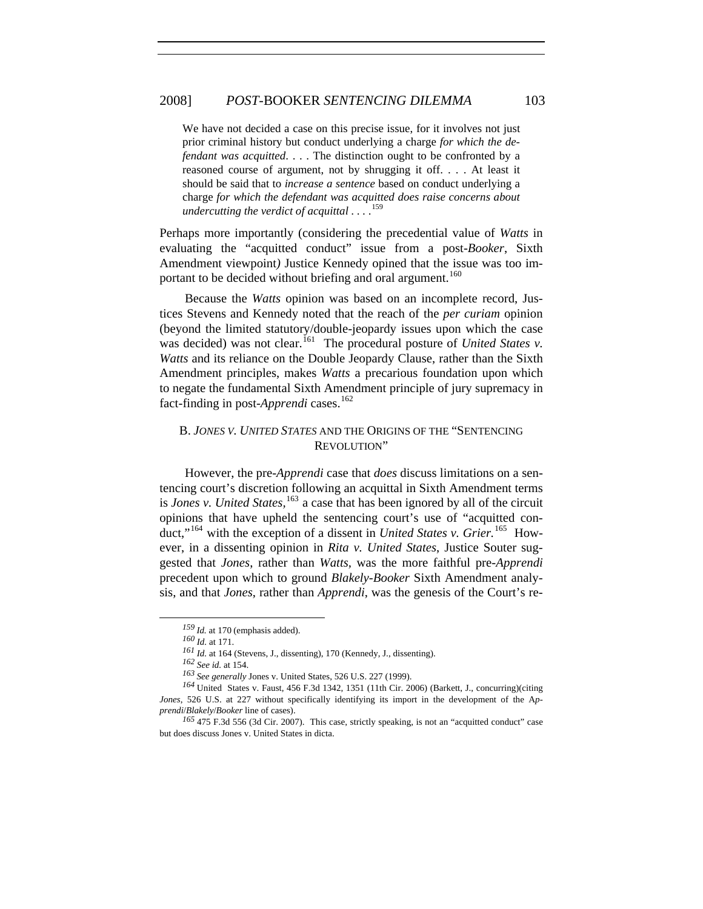## 2008] *POST-*BOOKER *SENTENCING DILEMMA* 103

We have not decided a case on this precise issue, for it involves not just prior criminal history but conduct underlying a charge *for which the defendant was acquitted*. . . . The distinction ought to be confronted by a reasoned course of argument, not by shrugging it off. . . . At least it should be said that to *increase a sentence* based on conduct underlying a charge *for which the defendant was acquitted does raise concerns about undercutting the verdict of acquittal . . .* . [159](#page-24-0)

Perhaps more importantly (considering the precedential value of *Watts* in evaluating the "acquitted conduct" issue from a post-*Booker*, Sixth Amendment viewpoint*)* Justice Kennedy opined that the issue was too im-portant to be decided without briefing and oral argument.<sup>[160](#page-24-1)</sup>

Because the *Watts* opinion was based on an incomplete record, Justices Stevens and Kennedy noted that the reach of the *per curiam* opinion (beyond the limited statutory/double-jeopardy issues upon which the case was decided) was not clear.<sup>[161](#page-24-2)</sup> The procedural posture of *United States v. Watts* and its reliance on the Double Jeopardy Clause, rather than the Sixth Amendment principles, makes *Watts* a precarious foundation upon which to negate the fundamental Sixth Amendment principle of jury supremacy in fact-finding in post-*Apprendi* cases.<sup>[162](#page-24-3)</sup>

## B. *JONES V. UNITED STATES* AND THE ORIGINS OF THE "SENTENCING REVOLUTION"

However, the pre-*Apprendi* case that *does* discuss limitations on a sentencing court's discretion following an acquittal in Sixth Amendment terms is *Jones v. United States,*[163](#page-24-4) a case that has been ignored by all of the circuit opinions that have upheld the sentencing court's use of "acquitted conduct,"[164](#page-24-5) with the exception of a dissent in *United States v. Grier.*[165](#page-24-6) However, in a dissenting opinion in *Rita v. United States*, Justice Souter suggested that *Jones*, rather than *Watts,* was the more faithful pre-*Apprendi* precedent upon which to ground *Blakely-Booker* Sixth Amendment analysis, and that *Jones*, rather than *Apprendi*, was the genesis of the Court's re-

*<sup>159</sup> Id.* at 170 (emphasis added).

*<sup>160</sup> Id.* at 171.

*<sup>161</sup> Id.* at 164 (Stevens, J., dissenting), 170 (Kennedy, J., dissenting).

*<sup>162</sup> See id.* at 154.

*<sup>163</sup> See generally* Jones v. United States, 526 U.S. 227 (1999).

<span id="page-24-5"></span><span id="page-24-4"></span><span id="page-24-3"></span><span id="page-24-2"></span><span id="page-24-1"></span><span id="page-24-0"></span>*<sup>164</sup>* United States v. Faust, 456 F.3d 1342, 1351 (11th Cir. 2006) (Barkett, J., concurring)(citing *Jones*, 526 U.S. at 227 without specifically identifying its import in the development of the A*pprendi*/*Blakely*/*Booker* line of cases).

<span id="page-24-6"></span>*<sup>165</sup>* 475 F.3d 556 (3d Cir. 2007). This case, strictly speaking, is not an "acquitted conduct" case but does discuss Jones v. United States in dicta.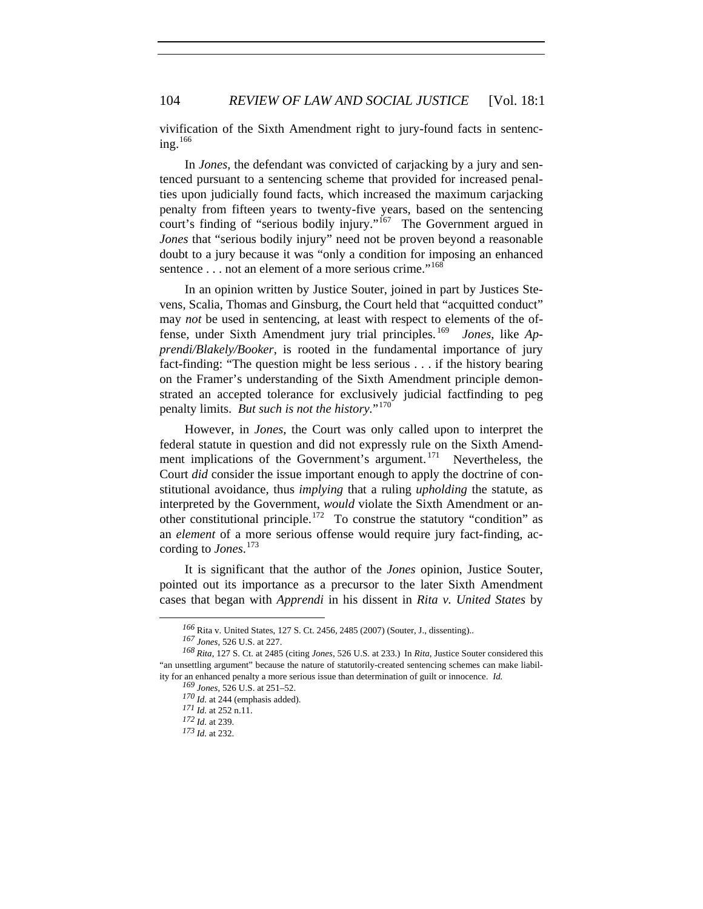vivification of the Sixth Amendment right to jury-found facts in sentencing. $166$ 

In *Jones*, the defendant was convicted of carjacking by a jury and sentenced pursuant to a sentencing scheme that provided for increased penalties upon judicially found facts, which increased the maximum carjacking penalty from fifteen years to twenty-five years, based on the sentencing court's finding of "serious bodily injury."<sup>[167](#page-25-1)</sup> The Government argued in *Jones* that "serious bodily injury" need not be proven beyond a reasonable doubt to a jury because it was "only a condition for imposing an enhanced sentence . . . not an element of a more serious crime."<sup>[168](#page-25-2)</sup>

In an opinion written by Justice Souter, joined in part by Justices Stevens, Scalia, Thomas and Ginsburg, the Court held that "acquitted conduct" may *not* be used in sentencing, at least with respect to elements of the offense, under Sixth Amendment jury trial principles. [169](#page-25-3) *Jones*, like *Apprendi/Blakely/Booker*, is rooted in the fundamental importance of jury fact-finding: "The question might be less serious . . . if the history bearing on the Framer's understanding of the Sixth Amendment principle demonstrated an accepted tolerance for exclusively judicial factfinding to peg penalty limits. *But such is not the history.*"[170](#page-25-4)

However, in *Jones*, the Court was only called upon to interpret the federal statute in question and did not expressly rule on the Sixth Amendment implications of the Government's argument.  $171$  Nevertheless, the Court *did* consider the issue important enough to apply the doctrine of constitutional avoidance, thus *implying* that a ruling *upholding* the statute, as interpreted by the Government, *would* violate the Sixth Amendment or an-other constitutional principle.<sup>[172](#page-25-6)</sup> To construe the statutory "condition" as an *element* of a more serious offense would require jury fact-finding, according to *Jones*. [173](#page-25-7)

It is significant that the author of the *Jones* opinion, Justice Souter, pointed out its importance as a precursor to the later Sixth Amendment cases that began with *Apprendi* in his dissent in *Rita v. United States* by

*<sup>166</sup>* Rita v. United States, 127 S. Ct. 2456, 2485 (2007) (Souter, J., dissenting)..

*<sup>167</sup> Jones*, 526 U.S. at 227.

<span id="page-25-7"></span><span id="page-25-6"></span><span id="page-25-5"></span><span id="page-25-4"></span><span id="page-25-3"></span><span id="page-25-2"></span><span id="page-25-1"></span><span id="page-25-0"></span>*<sup>168</sup> Rita*, 127 S. Ct. at 2485 (citing *Jones*, 526 U.S. at 233.)In *Rita*, Justice Souter considered this "an unsettling argument" because the nature of statutorily-created sentencing schemes can make liability for an enhanced penalty a more serious issue than determination of guilt or innocence. *Id.*

*<sup>169</sup> Jones*, 526 U.S. at 251–52.

*<sup>170</sup> Id.* at 244 (emphasis added).

*<sup>171</sup> Id.* at 252 n.11.

*<sup>172</sup> Id.* at 239.

*<sup>173</sup> Id.* at 232.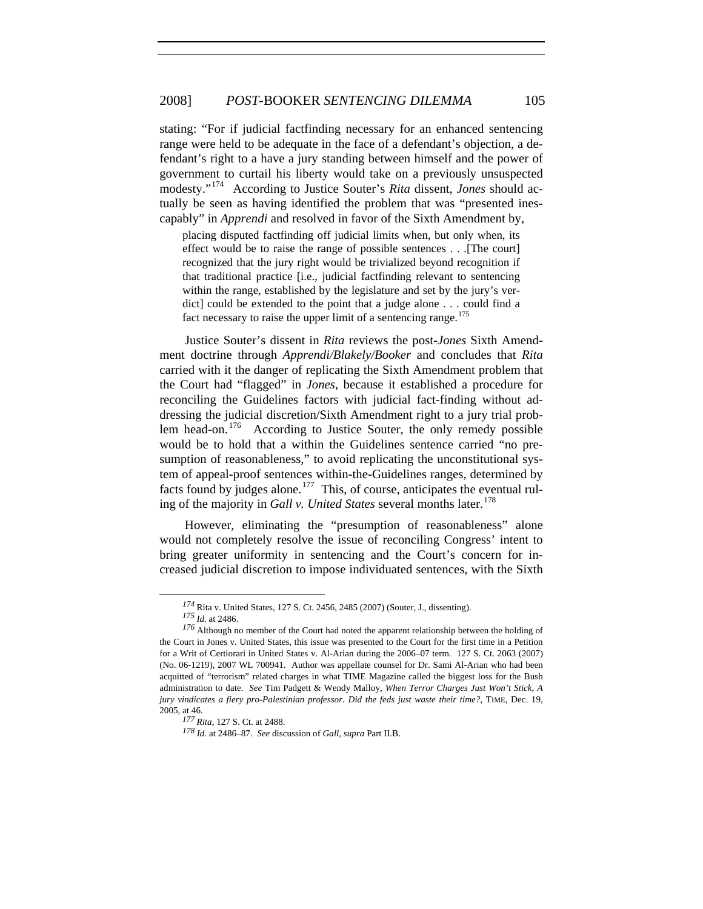capably" in *Apprendi* and resolved in favor of the Sixth Amendment by, stating: "For if judicial factfinding necessary for an enhanced sentencing range were held to be adequate in the face of a defendant's objection, a defendant's right to a have a jury standing between himself and the power of government to curtail his liberty would take on a previously unsuspected modesty."[174](#page-26-0) According to Justice Souter's *Rita* dissent, *Jones* should actually be seen as having identified the problem that was "presented ines-

placing disputed factfinding off judicial limits when, but only when, its effect would be to raise the range of possible sentences . . .[The court] recognized that the jury right would be trivialized beyond recognition if that traditional practice [i.e., judicial factfinding relevant to sentencing within the range, established by the legislature and set by the jury's verdict] could be extended to the point that a judge alone . . . could find a fact necessary to raise the upper limit of a sentencing range. $175$ 

Justice Souter's dissent in *Rita* reviews the post-*Jones* Sixth Amendment doctrine through *Apprendi/Blakely/Booker* and concludes that *Rita* carried with it the danger of replicating the Sixth Amendment problem that the Court had "flagged" in *Jones,* because it established a procedure for reconciling the Guidelines factors with judicial fact-finding without addressing the judicial discretion/Sixth Amendment right to a jury trial problem head-on.  $176$  According to Justice Souter, the only remedy possible would be to hold that a within the Guidelines sentence carried "no presumption of reasonableness," to avoid replicating the unconstitutional system of appeal-proof sentences within-the-Guidelines ranges, determined by facts found by judges alone.<sup>[177](#page-26-3)</sup> This, of course, anticipates the eventual ruling of the majority in *Gall v. United States* several months later.<sup>[178](#page-26-4)</sup>

However, eliminating the "presumption of reasonableness" alone would not completely resolve the issue of reconciling Congress' intent to bring greater uniformity in sentencing and the Court's concern for increased judicial discretion to impose individuated sentences, with the Sixth

*<sup>174</sup>*Rita v. United States, 127 S. Ct. 2456, 2485 (2007) (Souter, J., dissenting).

*<sup>175</sup> Id.* at 2486.

<span id="page-26-2"></span><span id="page-26-1"></span><span id="page-26-0"></span>*<sup>176</sup>* Although no member of the Court had noted the apparent relationship between the holding of the Court in Jones v. United States, this issue was presented to the Court for the first time in a Petition for a Writ of Certiorari in United States v. Al-Arian during the 2006–07 term. 127 S. Ct. 2063 (2007) (No. 06-1219), 2007 WL 700941. Author was appellate counsel for Dr. Sami Al-Arian who had been acquitted of "terrorism" related charges in what TIME Magazine called the biggest loss for the Bush administration to date. *See* Tim Padgett & Wendy Malloy, *When Terror Charges Just Won't Stick, A jury vindicates a fiery pro-Palestinian professor. Did the feds just waste their time?*, TIME, Dec. 19, 2005, at 46.

<span id="page-26-4"></span><span id="page-26-3"></span>*<sup>177</sup> Rita*, 127 S. Ct. at 2488.

*<sup>178</sup> Id.* at 2486–87. *See* discussion of *Gall*, *supra* Part II.B.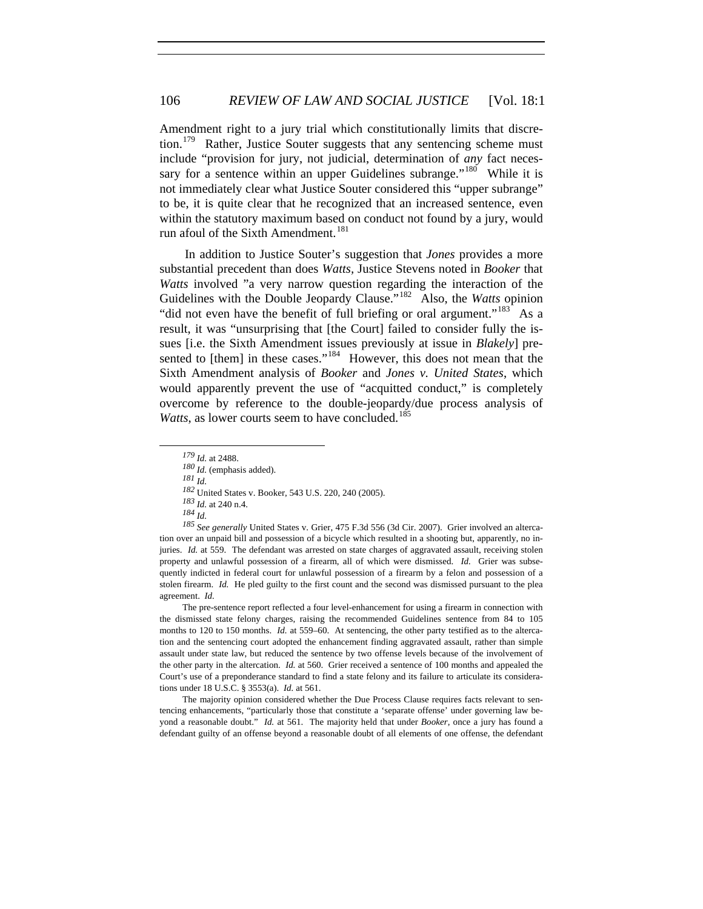Amendment right to a jury trial which constitutionally limits that discre-tion.<sup>[179](#page-27-0)</sup> Rather, Justice Souter suggests that any sentencing scheme must include "provision for jury, not judicial, determination of *any* fact neces-sary for a sentence within an upper Guidelines subrange."<sup>[180](#page-27-1)</sup> While it is not immediately clear what Justice Souter considered this "upper subrange" to be, it is quite clear that he recognized that an increased sentence, even within the statutory maximum based on conduct not found by a jury, would run afoul of the Sixth Amendment.<sup>[181](#page-27-2)</sup>

In addition to Justice Souter's suggestion that *Jones* provides a more substantial precedent than does *Watts,* Justice Stevens noted in *Booker* that *Watts* involved "a very narrow question regarding the interaction of the Guidelines with the Double Jeopardy Clause."[182](#page-27-3) Also, the *Watts* opinion "did not even have the benefit of full briefing or oral argument."<sup>[183](#page-27-4)</sup> As a result, it was "unsurprising that [the Court] failed to consider fully the issues [i.e. the Sixth Amendment issues previously at issue in *Blakely*] pre-sented to [them] in these cases."<sup>[184](#page-27-5)</sup> However, this does not mean that the Sixth Amendment analysis of *Booker* and *Jones v. United States*, which would apparently prevent the use of "acquitted conduct," is completely overcome by reference to the double-jeopardy/due process analysis of *Watts*, as lower courts seem to have concluded.<sup>[185](#page-27-6)</sup>

*<sup>181</sup> Id.* 

<span id="page-27-2"></span><span id="page-27-1"></span><span id="page-27-0"></span> $\overline{a}$ 

<span id="page-27-6"></span><span id="page-27-5"></span><span id="page-27-4"></span><span id="page-27-3"></span>*<sup>185</sup> See generally* United States v. Grier, 475 F.3d 556 (3d Cir. 2007). Grier involved an altercation over an unpaid bill and possession of a bicycle which resulted in a shooting but, apparently, no injuries. *Id.* at 559. The defendant was arrested on state charges of aggravated assault, receiving stolen property and unlawful possession of a firearm, all of which were dismissed. *Id.* Grier was subsequently indicted in federal court for unlawful possession of a firearm by a felon and possession of a stolen firearm. *Id.* He pled guilty to the first count and the second was dismissed pursuant to the plea agreement. *Id.*

The pre-sentence report reflected a four level-enhancement for using a firearm in connection with the dismissed state felony charges, raising the recommended Guidelines sentence from 84 to 105 months to 120 to 150 months. *Id.* at 559–60. At sentencing, the other party testified as to the altercation and the sentencing court adopted the enhancement finding aggravated assault, rather than simple assault under state law, but reduced the sentence by two offense levels because of the involvement of the other party in the altercation. *Id.* at 560. Grier received a sentence of 100 months and appealed the Court's use of a preponderance standard to find a state felony and its failure to articulate its considerations under 18 U.S.C. § 3553(a). *Id.* at 561.

The majority opinion considered whether the Due Process Clause requires facts relevant to sentencing enhancements, "particularly those that constitute a 'separate offense' under governing law beyond a reasonable doubt." *Id.* at 561. The majority held that under *Booker*, once a jury has found a defendant guilty of an offense beyond a reasonable doubt of all elements of one offense, the defendant

*<sup>179</sup> Id.* at 2488.

*<sup>180</sup> Id.* (emphasis added).

*<sup>182</sup>* United States v. Booker, 543 U.S. 220, 240 (2005).

*<sup>183</sup> Id.* at 240 n.4.

*<sup>184</sup> Id.*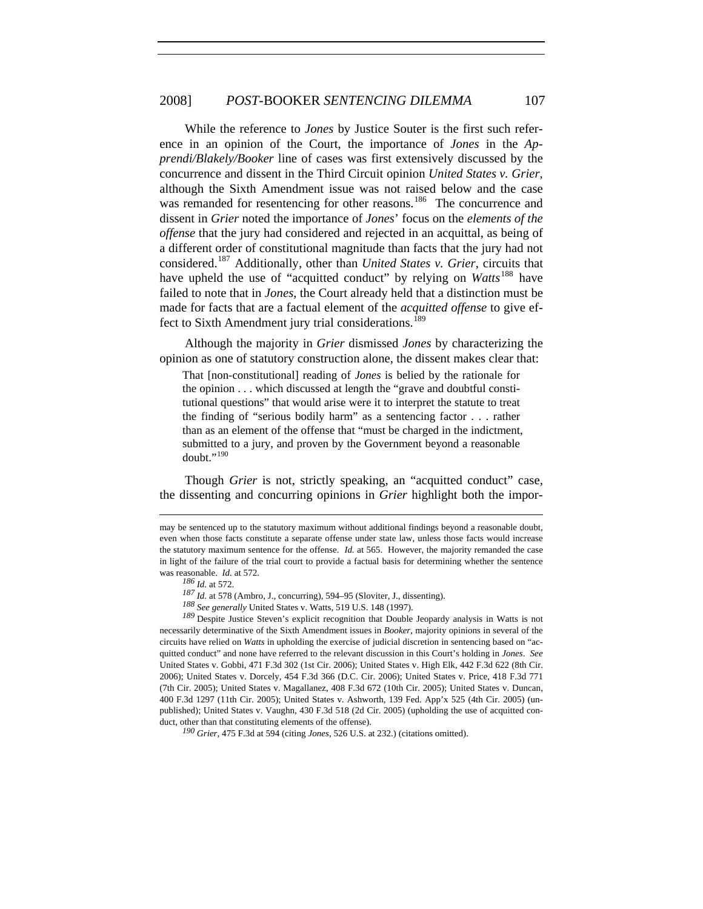While the reference to *Jones* by Justice Souter is the first such reference in an opinion of the Court, the importance of *Jones* in the *Apprendi/Blakely/Booker* line of cases was first extensively discussed by the concurrence and dissent in the Third Circuit opinion *United States v. Grier*, although the Sixth Amendment issue was not raised below and the case was remanded for resentencing for other reasons.<sup>[186](#page-28-0)</sup> The concurrence and dissent in *Grier* noted the importance of *Jones*' focus on the *elements of the offense* that the jury had considered and rejected in an acquittal, as being of a different order of constitutional magnitude than facts that the jury had not considered.[187](#page-28-1) Additionally, other than *United States v. Grier*, circuits that have upheld the use of "acquitted conduct" by relying on *Watts*<sup>[188](#page-28-2)</sup> have failed to note that in *Jones*, the Court already held that a distinction must be made for facts that are a factual element of the *acquitted offense* to give ef-fect to Sixth Amendment jury trial considerations.<sup>[189](#page-28-3)</sup>

Although the majority in *Grier* dismissed *Jones* by characterizing the opinion as one of statutory construction alone, the dissent makes clear that:

That [non-constitutional] reading of *Jones* is belied by the rationale for the opinion . . . which discussed at length the "grave and doubtful constitutional questions" that would arise were it to interpret the statute to treat the finding of "serious bodily harm" as a sentencing factor . . . rather than as an element of the offense that "must be charged in the indictment, submitted to a jury, and proven by the Government beyond a reasonable doubt." $190$ 

Though *Grier* is not, strictly speaking, an "acquitted conduct" case, the dissenting and concurring opinions in *Grier* highlight both the impor-

1

<span id="page-28-3"></span><span id="page-28-2"></span><span id="page-28-1"></span><span id="page-28-0"></span>*<sup>189</sup>* Despite Justice Steven's explicit recognition that Double Jeopardy analysis in Watts is not necessarily determinative of the Sixth Amendment issues in *Booker*, majority opinions in several of the circuits have relied on *Watts* in upholding the exercise of judicial discretion in sentencing based on "acquitted conduct" and none have referred to the relevant discussion in this Court's holding in *Jones*. *See* United States v. Gobbi, 471 F.3d 302 (1st Cir. 2006); United States v. High Elk, 442 F.3d 622 (8th Cir. 2006); United States v. Dorcely, 454 F.3d 366 (D.C. Cir. 2006); United States v. Price, 418 F.3d 771 (7th Cir. 2005); United States v. Magallanez, 408 F.3d 672 (10th Cir. 2005); United States v. Duncan, 400 F.3d 1297 (11th Cir. 2005); United States v. Ashworth, 139 Fed. App'x 525 (4th Cir. 2005) (unpublished); United States v. Vaughn, 430 F.3d 518 (2d Cir. 2005) (upholding the use of acquitted conduct, other than that constituting elements of the offense).

<span id="page-28-4"></span>*<sup>190</sup> Grier*, 475 F.3d at 594 (citing *Jones*, 526 U.S. at 232.) (citations omitted).

may be sentenced up to the statutory maximum without additional findings beyond a reasonable doubt, even when those facts constitute a separate offense under state law, unless those facts would increase the statutory maximum sentence for the offense. *Id.* at 565. However, the majority remanded the case in light of the failure of the trial court to provide a factual basis for determining whether the sentence was reasonable. *Id.* at 572.

*<sup>186</sup> Id.* at 572.

*<sup>187</sup> Id.* at 578 (Ambro, J., concurring), 594–95 (Sloviter, J., dissenting).

*<sup>188</sup> See generally* United States v. Watts, 519 U.S. 148 (1997).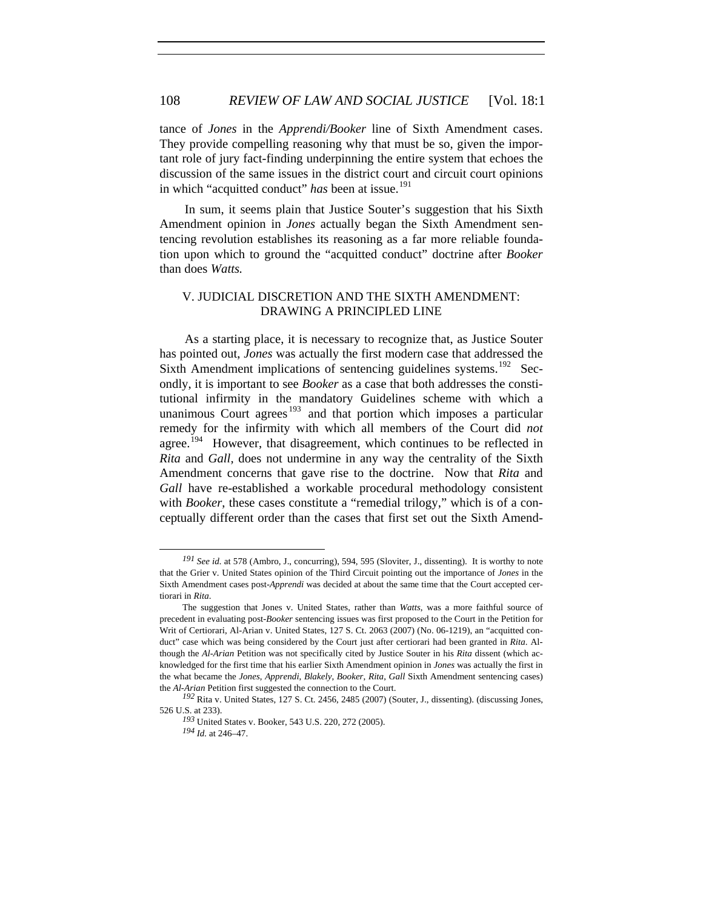tance of *Jones* in the *Apprendi/Booker* line of Sixth Amendment cases. They provide compelling reasoning why that must be so, given the important role of jury fact-finding underpinning the entire system that echoes the discussion of the same issues in the district court and circuit court opinions in which "acquitted conduct" has been at issue.<sup>[191](#page-29-0)</sup>

In sum, it seems plain that Justice Souter's suggestion that his Sixth Amendment opinion in *Jones* actually began the Sixth Amendment sentencing revolution establishes its reasoning as a far more reliable foundation upon which to ground the "acquitted conduct" doctrine after *Booker* than does *Watts.*

## V. JUDICIAL DISCRETION AND THE SIXTH AMENDMENT: DRAWING A PRINCIPLED LINE

As a starting place, it is necessary to recognize that, as Justice Souter has pointed out, *Jones* was actually the first modern case that addressed the Sixth Amendment implications of sentencing guidelines systems.<sup>[192](#page-29-1)</sup> Secondly, it is important to see *Booker* as a case that both addresses the constitutional infirmity in the mandatory Guidelines scheme with which a unanimous Court agrees<sup>[193](#page-29-2)</sup> and that portion which imposes a particular remedy for the infirmity with which all members of the Court did *not* agree.<sup>[194](#page-29-3)</sup> However, that disagreement, which continues to be reflected in *Rita* and *Gall,* does not undermine in any way the centrality of the Sixth Amendment concerns that gave rise to the doctrine. Now that *Rita* and *Gall* have re-established a workable procedural methodology consistent with *Booker*, these cases constitute a "remedial trilogy," which is of a conceptually different order than the cases that first set out the Sixth Amend-

<span id="page-29-0"></span>*<sup>191</sup> See id.* at 578 (Ambro, J., concurring), 594, 595 (Sloviter, J., dissenting). It is worthy to note that the Grier v. United States opinion of the Third Circuit pointing out the importance of *Jones* in the Sixth Amendment cases post-*Apprendi* was decided at about the same time that the Court accepted certiorari in *Rita*.

The suggestion that Jones v. United States, rather than *Watts*, was a more faithful source of precedent in evaluating post-*Booker* sentencing issues was first proposed to the Court in the Petition for Writ of Certiorari, Al-Arian v. United States, 127 S. Ct. 2063 (2007) (No. 06-1219), an "acquitted conduct" case which was being considered by the Court just after certiorari had been granted in *Rita*. Although the *Al-Arian* Petition was not specifically cited by Justice Souter in his *Rita* dissent (which acknowledged for the first time that his earlier Sixth Amendment opinion in *Jones* was actually the first in the what became the *Jones*, *Apprendi*, *Blakely*, *Booker*, *Rita*, *Gall* Sixth Amendment sentencing cases) the *Al-Arian* Petition first suggested the connection to the Court.

<span id="page-29-3"></span><span id="page-29-2"></span><span id="page-29-1"></span>*<sup>192</sup>* Rita v. United States, 127 S. Ct. 2456, 2485 (2007) (Souter, J., dissenting). (discussing Jones, 526 U.S. at 233).

*<sup>193</sup>* United States v. Booker, 543 U.S. 220, 272 (2005). *<sup>194</sup> Id.* at 246–47.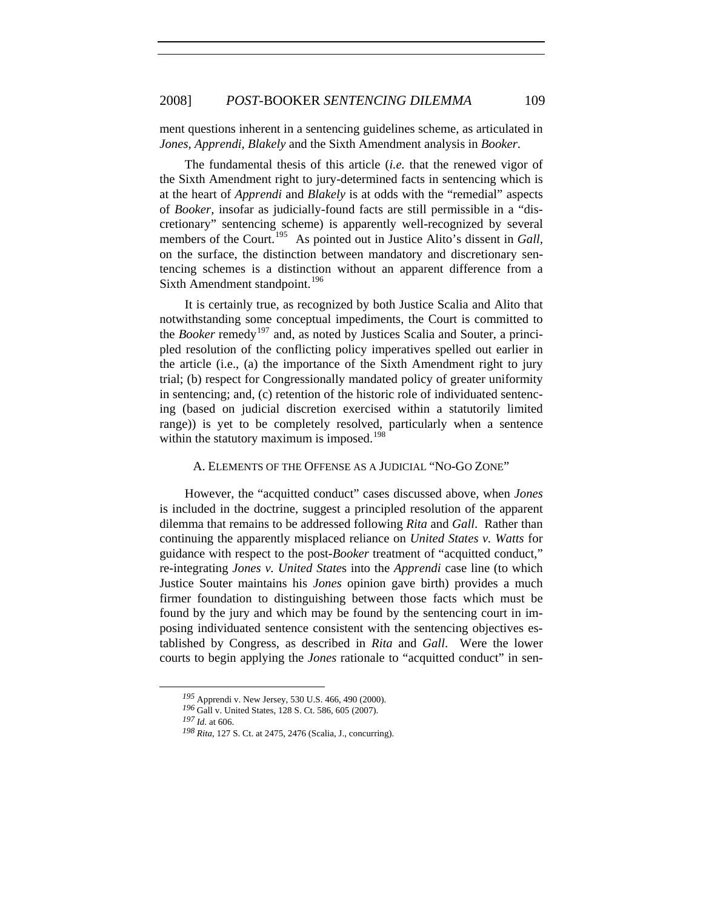ment questions inherent in a sentencing guidelines scheme, as articulated in *Jones, Apprendi, Blakely* and the Sixth Amendment analysis in *Booker*.

The fundamental thesis of this article (*i.e.* that the renewed vigor of the Sixth Amendment right to jury-determined facts in sentencing which is at the heart of *Apprendi* and *Blakely* is at odds with the "remedial" aspects of *Booker,* insofar as judicially-found facts are still permissible in a "discretionary" sentencing scheme) is apparently well-recognized by several members of the Court.<sup>[195](#page-30-0)</sup> As pointed out in Justice Alito's dissent in *Gall*, on the surface, the distinction between mandatory and discretionary sentencing schemes is a distinction without an apparent difference from a Sixth Amendment standpoint.<sup>[196](#page-30-1)</sup>

It is certainly true, as recognized by both Justice Scalia and Alito that notwithstanding some conceptual impediments, the Court is committed to the *Booker* remedy<sup>[197](#page-30-2)</sup> and, as noted by Justices Scalia and Souter, a principled resolution of the conflicting policy imperatives spelled out earlier in the article (i.e., (a) the importance of the Sixth Amendment right to jury trial; (b) respect for Congressionally mandated policy of greater uniformity in sentencing; and, (c) retention of the historic role of individuated sentencing (based on judicial discretion exercised within a statutorily limited range)) is yet to be completely resolved, particularly when a sentence within the statutory maximum is imposed.<sup>[198](#page-30-3)</sup>

#### A. ELEMENTS OF THE OFFENSE AS A JUDICIAL "NO-GO ZONE"

However, the "acquitted conduct" cases discussed above, when *Jones* is included in the doctrine, suggest a principled resolution of the apparent dilemma that remains to be addressed following *Rita* and *Gall*. Rather than continuing the apparently misplaced reliance on *United States v. Watts* for guidance with respect to the post-*Booker* treatment of "acquitted conduct," re-integrating *Jones v. United State*s into the *Apprendi* case line (to which Justice Souter maintains his *Jones* opinion gave birth) provides a much firmer foundation to distinguishing between those facts which must be found by the jury and which may be found by the sentencing court in imposing individuated sentence consistent with the sentencing objectives established by Congress, as described in *Rita* and *Gall*. Were the lower courts to begin applying the *Jones* rationale to "acquitted conduct" in sen-

*<sup>195</sup>* Apprendi v. New Jersey, 530 U.S. 466, 490 (2000).

<span id="page-30-1"></span><span id="page-30-0"></span>*<sup>196</sup>* Gall v. United States, 128 S. Ct. 586, 605 (2007).

<span id="page-30-3"></span><span id="page-30-2"></span>*<sup>197</sup> Id.* at 606.

*<sup>198</sup> Rita*, 127 S. Ct. at 2475, 2476 (Scalia, J., concurring).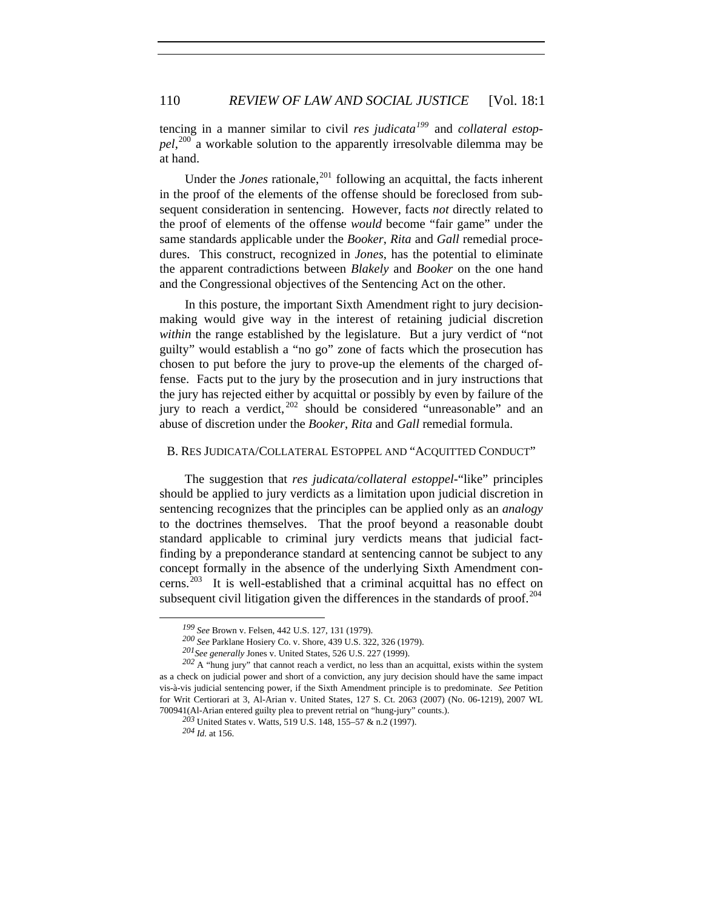tencing in a manner similar to civil *res judicata[199](#page-31-0)* and *collateral estoppel*, [200](#page-31-1) a workable solution to the apparently irresolvable dilemma may be at hand.

Under the *Jones* rationale,  $^{201}$  $^{201}$  $^{201}$  following an acquittal, the facts inherent in the proof of the elements of the offense should be foreclosed from subsequent consideration in sentencing. However, facts *not* directly related to the proof of elements of the offense *would* become "fair game" under the same standards applicable under the *Booker*, *Rita* and *Gall* remedial procedures. This construct, recognized in *Jones*, has the potential to eliminate the apparent contradictions between *Blakely* and *Booker* on the one hand and the Congressional objectives of the Sentencing Act on the other.

In this posture, the important Sixth Amendment right to jury decisionmaking would give way in the interest of retaining judicial discretion *within* the range established by the legislature. But a jury verdict of "not guilty" would establish a "no go" zone of facts which the prosecution has chosen to put before the jury to prove-up the elements of the charged offense. Facts put to the jury by the prosecution and in jury instructions that the jury has rejected either by acquittal or possibly by even by failure of the jury to reach a verdict, <sup>[202](#page-31-3)</sup> should be considered "unreasonable" and an abuse of discretion under the *Booker*, *Rita* and *Gall* remedial formula.

#### B. RES JUDICATA/COLLATERAL ESTOPPEL AND "ACQUITTED CONDUCT"

The suggestion that *res judicata/collateral estoppel-*"like" principles should be applied to jury verdicts as a limitation upon judicial discretion in sentencing recognizes that the principles can be applied only as an *analogy* to the doctrines themselves. That the proof beyond a reasonable doubt standard applicable to criminal jury verdicts means that judicial factfinding by a preponderance standard at sentencing cannot be subject to any concept formally in the absence of the underlying Sixth Amendment con-cerns.<sup>[203](#page-31-4)</sup> It is well-established that a criminal acquittal has no effect on subsequent civil litigation given the differences in the standards of proof.<sup>[204](#page-31-5)</sup>

*<sup>199</sup> See* Brown v. Felsen, 442 U.S. 127, 131 (1979).

*<sup>200</sup> See* Parklane Hosiery Co. v. Shore, 439 U.S. 322, 326 (1979).

*<sup>201</sup>See generally* Jones v. United States, 526 U.S. 227 (1999).

<span id="page-31-5"></span><span id="page-31-4"></span><span id="page-31-3"></span><span id="page-31-2"></span><span id="page-31-1"></span><span id="page-31-0"></span>*<sup>202</sup>* A "hung jury" that cannot reach a verdict, no less than an acquittal, exists within the system as a check on judicial power and short of a conviction, any jury decision should have the same impact vis-à-vis judicial sentencing power, if the Sixth Amendment principle is to predominate. *See* Petition for Writ Certiorari at 3, Al-Arian v. United States, 127 S. Ct. 2063 (2007) (No. 06-1219), 2007 WL 700941(Al-Arian entered guilty plea to prevent retrial on "hung-jury" counts.).

*<sup>203</sup>* United States v. Watts, 519 U.S. 148, 155–57 & n.2 (1997).

*<sup>204</sup> Id.* at 156.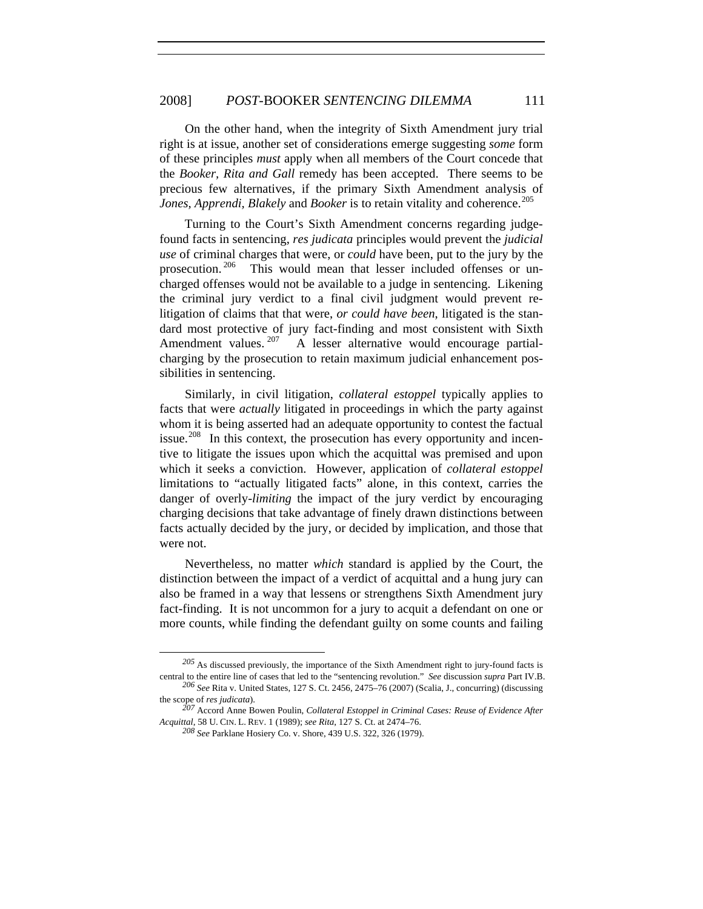On the other hand, when the integrity of Sixth Amendment jury trial right is at issue, another set of considerations emerge suggesting *some* form of these principles *must* apply when all members of the Court concede that the *Booker, Rita and Gall* remedy has been accepted. There seems to be precious few alternatives, if the primary Sixth Amendment analysis of *Jones, Apprendi, Blakely* and *Booker* is to retain vitality and coherence.<sup>[205](#page-32-0)</sup>

Turning to the Court's Sixth Amendment concerns regarding judgefound facts in sentencing, *res judicata* principles would prevent the *judicial use* of criminal charges that were, or *could* have been, put to the jury by the prosecution.<sup>[206](#page-32-1)</sup> This would mean that lesser included offenses or uncharged offenses would not be available to a judge in sentencing. Likening the criminal jury verdict to a final civil judgment would prevent relitigation of claims that that were, *or could have been*, litigated is the standard most protective of jury fact-finding and most consistent with Sixth Amendment values. <sup>[207](#page-32-2)</sup> A lesser alternative would encourage partialcharging by the prosecution to retain maximum judicial enhancement possibilities in sentencing.

Similarly, in civil litigation, *collateral estoppel* typically applies to facts that were *actually* litigated in proceedings in which the party against whom it is being asserted had an adequate opportunity to contest the factual issue.<sup>[208](#page-32-3)</sup> In this context, the prosecution has every opportunity and incentive to litigate the issues upon which the acquittal was premised and upon which it seeks a conviction. However, application of *collateral estoppel*  limitations to "actually litigated facts" alone, in this context, carries the danger of overly-*limiting* the impact of the jury verdict by encouraging charging decisions that take advantage of finely drawn distinctions between facts actually decided by the jury, or decided by implication, and those that were not.

Nevertheless, no matter *which* standard is applied by the Court, the distinction between the impact of a verdict of acquittal and a hung jury can also be framed in a way that lessens or strengthens Sixth Amendment jury fact-finding. It is not uncommon for a jury to acquit a defendant on one or more counts, while finding the defendant guilty on some counts and failing

<span id="page-32-0"></span>*<sup>205</sup>* As discussed previously, the importance of the Sixth Amendment right to jury-found facts is central to the entire line of cases that led to the "sentencing revolution." *See* discussion *supra* Part IV.B. *<sup>206</sup> See* Rita v. United States, 127 S. Ct. 2456, 2475–76 (2007) (Scalia, J., concurring) (discussing

<span id="page-32-3"></span><span id="page-32-2"></span><span id="page-32-1"></span>the scope of *res judicata*). *<sup>207</sup>* Accord Anne Bowen Poulin, *Collateral Estoppel in Criminal Cases: Reuse of Evidence After Acquittal*, 58 U. CIN. L. REV. 1 (1989); *see Rita*, 127 S. Ct. at 2474–76.

*<sup>208</sup> See* Parklane Hosiery Co. v. Shore, 439 U.S. 322, 326 (1979).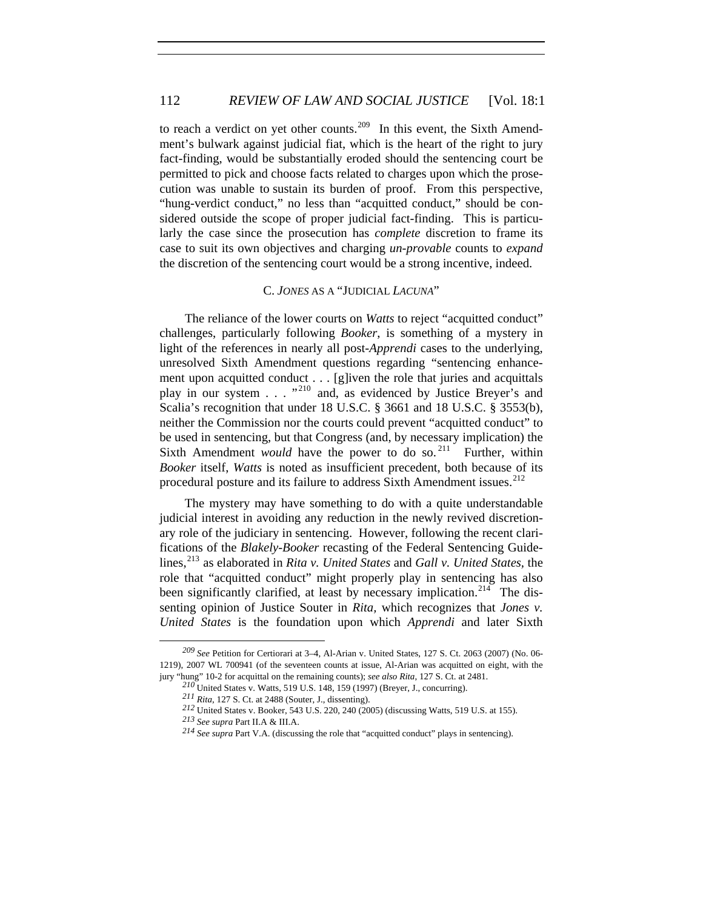# 112 *REVIEW OF LAW AND SOCIAL JUSTICE* [Vol. 18:1]

to reach a verdict on yet other counts.<sup>[209](#page-33-0)</sup> In this event, the Sixth Amendment's bulwark against judicial fiat, which is the heart of the right to jury fact-finding, would be substantially eroded should the sentencing court be permitted to pick and choose facts related to charges upon which the prosecution was unable to sustain its burden of proof. From this perspective, "hung-verdict conduct," no less than "acquitted conduct," should be considered outside the scope of proper judicial fact-finding. This is particularly the case since the prosecution has *complete* discretion to frame its case to suit its own objectives and charging *un-provable* counts to *expand* the discretion of the sentencing court would be a strong incentive, indeed.

#### C. *JONES* AS A "JUDICIAL *LACUNA*"

The reliance of the lower courts on *Watts* to reject "acquitted conduct" challenges, particularly following *Booker*, is something of a mystery in light of the references in nearly all post-*Apprendi* cases to the underlying, unresolved Sixth Amendment questions regarding "sentencing enhancement upon acquitted conduct . . . [g]iven the role that juries and acquittals play in our system . . . " [210](#page-33-1) and, as evidenced by Justice Breyer's and Scalia's recognition that under 18 U.S.C. § 3661 and 18 U.S.C. § 3553(b), neither the Commission nor the courts could prevent "acquitted conduct" to be used in sentencing, but that Congress (and, by necessary implication) the Sixth Amendment *would* have the power to do so.<sup>[211](#page-33-2)</sup> Further, within *Booker* itself, *Watts* is noted as insufficient precedent, both because of its procedural posture and its failure to address Sixth Amendment issues.<sup>[212](#page-33-3)</sup>

The mystery may have something to do with a quite understandable judicial interest in avoiding any reduction in the newly revived discretionary role of the judiciary in sentencing. However, following the recent clarifications of the *Blakely-Booker* recasting of the Federal Sentencing Guide-lines,<sup>[213](#page-33-4)</sup> as elaborated in *Rita v. United States* and *Gall v. United States*, the role that "acquitted conduct" might properly play in sentencing has also been significantly clarified, at least by necessary implication.<sup>[214](#page-33-5)</sup> The dissenting opinion of Justice Souter in *Rita,* which recognizes that *Jones v. United States* is the foundation upon which *Apprendi* and later Sixth

<span id="page-33-5"></span><span id="page-33-4"></span><span id="page-33-3"></span><span id="page-33-2"></span><span id="page-33-1"></span><span id="page-33-0"></span>*<sup>209</sup> See* Petition for Certiorari at 3–4, Al-Arian v. United States, 127 S. Ct. 2063 (2007) (No. 06- 1219), 2007 WL 700941 (of the seventeen counts at issue, Al-Arian was acquitted on eight, with the jury "hung" 10-2 for acquittal on the remaining counts); *see also Rita*, 127 S. Ct. at 2481.

*<sup>210</sup>*United States v. Watts, 519 U.S. 148, 159 (1997) (Breyer, J., concurring).

*<sup>211</sup> Rita*, 127 S. Ct. at 2488 (Souter, J., dissenting).

*<sup>212</sup>* United States v. Booker, 543 U.S. 220, 240 (2005) (discussing Watts, 519 U.S. at 155).

*<sup>213</sup> See supra* Part II.A & III.A.

*<sup>214</sup> See supra* Part V.A. (discussing the role that "acquitted conduct" plays in sentencing).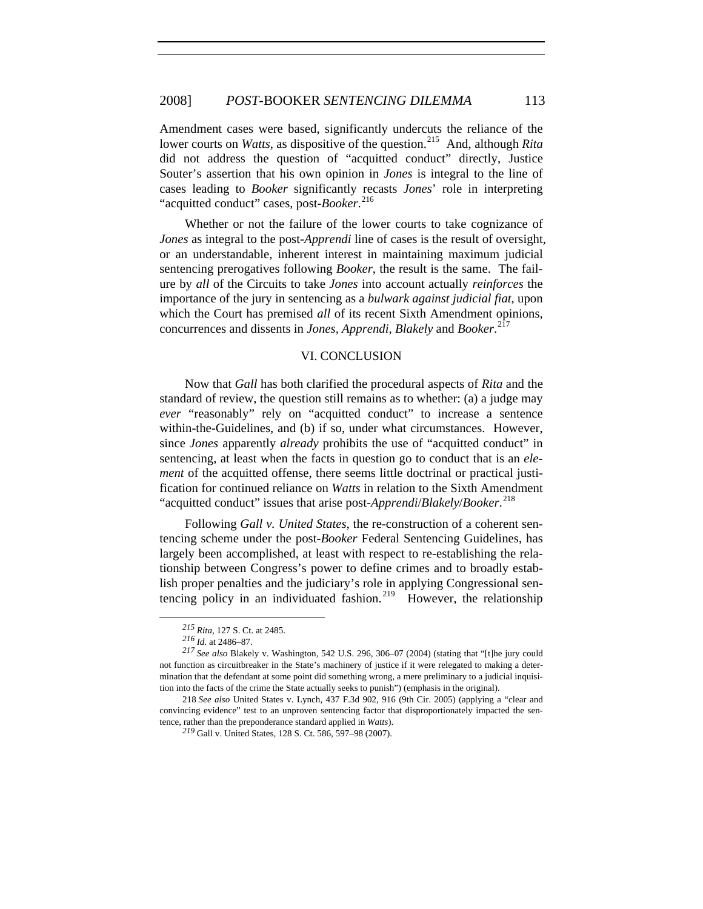Amendment cases were based, significantly undercuts the reliance of the lower courts on *Watts*, as dispositive of the question.<sup>[215](#page-34-0)</sup> And, although *Rita* did not address the question of "acquitted conduct" directly, Justice Souter's assertion that his own opinion in *Jones* is integral to the line of cases leading to *Booker* significantly recasts *Jones*' role in interpreting "acquitted conduct" cases, post-*Booker*. [216](#page-34-1)

Whether or not the failure of the lower courts to take cognizance of *Jones* as integral to the post-*Apprendi* line of cases is the result of oversight, or an understandable, inherent interest in maintaining maximum judicial sentencing prerogatives following *Booker*, the result is the same. The failure by *all* of the Circuits to take *Jones* into account actually *reinforces* the importance of the jury in sentencing as a *bulwark against judicial fiat*, upon which the Court has premised *all* of its recent Sixth Amendment opinions, concurrences and dissents in *Jones, Apprendi, Blakely* and *Booker*. [217](#page-34-2)

#### VI. CONCLUSION

Now that *Gall* has both clarified the procedural aspects of *Rita* and the standard of review, the question still remains as to whether: (a) a judge may *ever* "reasonably" rely on "acquitted conduct" to increase a sentence within-the-Guidelines, and (b) if so, under what circumstances. However, since *Jones* apparently *already* prohibits the use of "acquitted conduct" in sentencing, at least when the facts in question go to conduct that is an *element* of the acquitted offense, there seems little doctrinal or practical justification for continued reliance on *Watts* in relation to the Sixth Amendment "acquitted conduct" issues that arise post-*Apprendi*/*Blakely*/*Booker*. [218](#page-34-3)

Following *Gall v. United States*, the re-construction of a coherent sentencing scheme under the post-*Booker* Federal Sentencing Guidelines, has largely been accomplished, at least with respect to re-establishing the relationship between Congress's power to define crimes and to broadly establish proper penalties and the judiciary's role in applying Congressional sen-tencing policy in an individuated fashion.<sup>[219](#page-34-4)</sup> However, the relationship

*<sup>215</sup> Rita*, 127 S. Ct. at 2485.

*<sup>216</sup> Id.* at 2486–87.

<span id="page-34-2"></span><span id="page-34-1"></span><span id="page-34-0"></span>*<sup>217</sup> See also* Blakely v. Washington, 542 U.S. 296, 306–07 (2004) (stating that "[t]he jury could not function as circuitbreaker in the State's machinery of justice if it were relegated to making a determination that the defendant at some point did something wrong, a mere preliminary to a judicial inquisition into the facts of the crime the State actually seeks to punish") (emphasis in the original).

<span id="page-34-4"></span><span id="page-34-3"></span><sup>218</sup> *See also* United States v. Lynch, 437 F.3d 902, 916 (9th Cir. 2005) (applying a "clear and convincing evidence" test to an unproven sentencing factor that disproportionately impacted the sentence, rather than the preponderance standard applied in *Watts*). *<sup>219</sup>* Gall v. United States, 128 S. Ct. 586, 597–98 (2007).